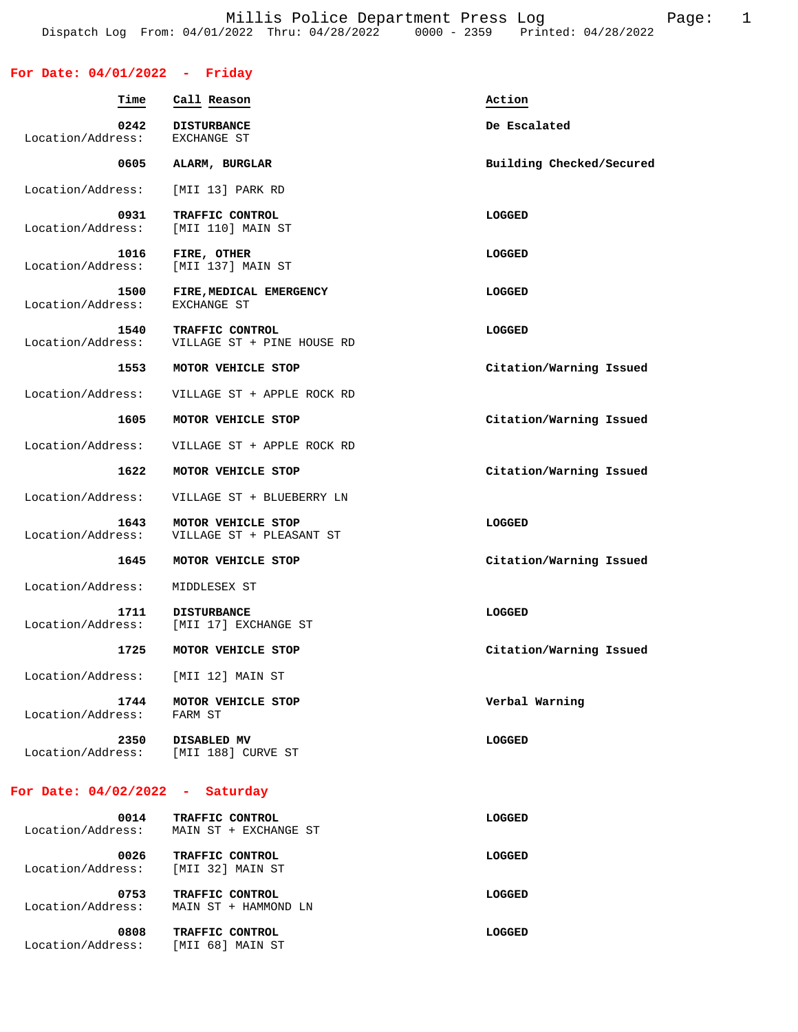### **For Date: 04/01/2022 - Friday**

| Time                              | Call Reason                                    | Action                   |
|-----------------------------------|------------------------------------------------|--------------------------|
| 0242<br>Location/Address:         | <b>DISTURBANCE</b><br>EXCHANGE ST              | De Escalated             |
| 0605                              | ALARM, BURGLAR                                 | Building Checked/Secured |
| Location/Address:                 | [MII 13] PARK RD                               |                          |
| 0931<br>Location/Address:         | TRAFFIC CONTROL<br>[MII 110] MAIN ST           | <b>LOGGED</b>            |
| 1016<br>Location/Address:         | FIRE, OTHER<br>[MII 137] MAIN ST               | LOGGED                   |
| 1500<br>Location/Address:         | FIRE, MEDICAL EMERGENCY<br>EXCHANGE ST         | <b>LOGGED</b>            |
| 1540<br>Location/Address:         | TRAFFIC CONTROL<br>VILLAGE ST + PINE HOUSE RD  | LOGGED                   |
| 1553                              | MOTOR VEHICLE STOP                             | Citation/Warning Issued  |
| Location/Address:                 | VILLAGE ST + APPLE ROCK RD                     |                          |
| 1605                              | MOTOR VEHICLE STOP                             | Citation/Warning Issued  |
| Location/Address:                 | VILLAGE ST + APPLE ROCK RD                     |                          |
| 1622                              | MOTOR VEHICLE STOP                             | Citation/Warning Issued  |
| Location/Address:                 | VILLAGE ST + BLUEBERRY LN                      |                          |
| 1643<br>Location/Address:         | MOTOR VEHICLE STOP<br>VILLAGE ST + PLEASANT ST | <b>LOGGED</b>            |
| 1645                              | MOTOR VEHICLE STOP                             | Citation/Warning Issued  |
| Location/Address:                 | MIDDLESEX ST                                   |                          |
| 1711<br>Location/Address:         | <b>DISTURBANCE</b><br>[MII 17] EXCHANGE ST     | <b>LOGGED</b>            |
| 1725                              | MOTOR VEHICLE STOP                             | Citation/Warning Issued  |
| Location/Address:                 | [MII 12] MAIN ST                               |                          |
| 1744<br>Location/Address: FARM ST | MOTOR VEHICLE STOP                             | Verbal Warning           |
| 2350<br>Location/Address:         | DISABLED MV<br>[MII 188] CURVE ST              | <b>LOGGED</b>            |
| For Date: $04/02/2022 -$ Saturday |                                                |                          |
| 0014<br>Location/Address:         | TRAFFIC CONTROL<br>MAIN ST + EXCHANGE ST       | <b>LOGGED</b>            |
| 0026                              | TRAFFIC CONTROL                                | LOGGED                   |

 Location/Address: [MII 32] MAIN ST  **0753 TRAFFIC CONTROL LOGGED**  Location/Address: MAIN ST + HAMMOND LN

0808 TRAFFIC CONTROL **CONTROL CONTROL** Location/Address: [MII 68] MAIN ST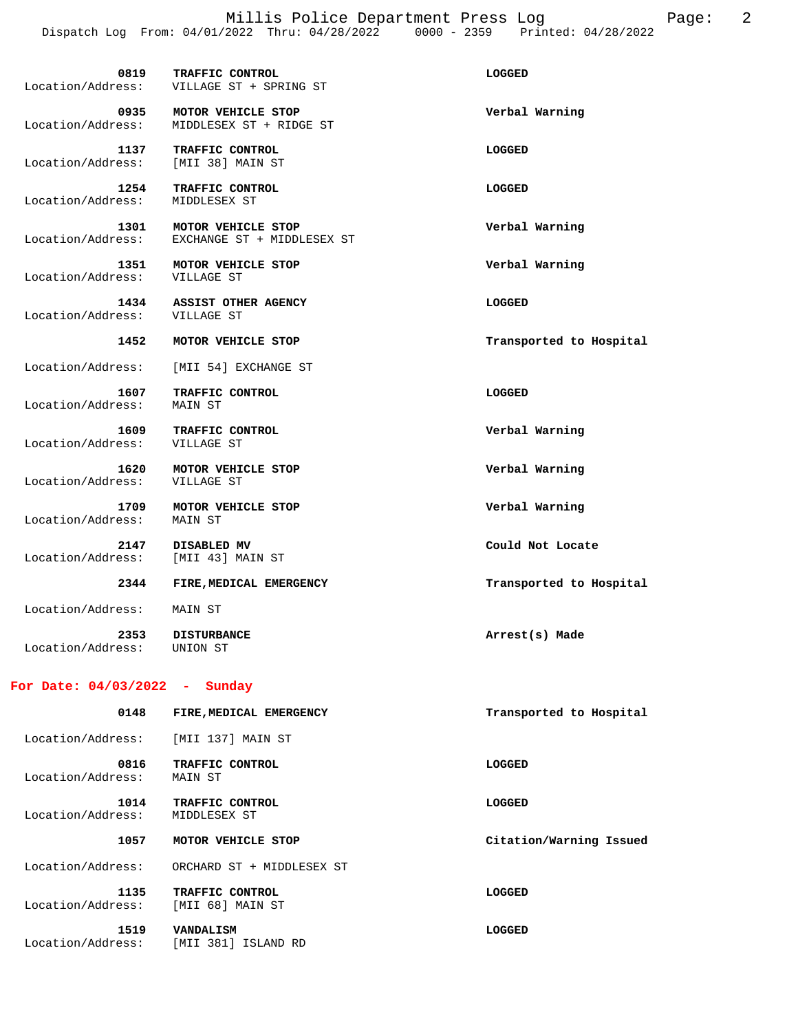Millis Police Department Press Log Page: 2 Dispatch Log From: 04/01/2022 Thru: 04/28/2022 0000 - 2359 Printed: 04/28/2022

| 0819<br>Location/Address:                  | TRAFFIC CONTROL<br>VILLAGE ST + SPRING ST        | LOGGED                  |
|--------------------------------------------|--------------------------------------------------|-------------------------|
| 0935<br>Location/Address:                  | MOTOR VEHICLE STOP<br>MIDDLESEX ST + RIDGE ST    | Verbal Warning          |
| 1137<br>Location/Address:                  | TRAFFIC CONTROL<br>[MII 38] MAIN ST              | LOGGED                  |
| 1254<br>Location/Address:                  | TRAFFIC CONTROL<br>MIDDLESEX ST                  | LOGGED                  |
| 1301<br>Location/Address:                  | MOTOR VEHICLE STOP<br>EXCHANGE ST + MIDDLESEX ST | Verbal Warning          |
| Location/Address:                          | 1351 MOTOR VEHICLE STOP<br>VILLAGE ST            | Verbal Warning          |
| Location/Address: VILLAGE ST               | 1434 ASSIST OTHER AGENCY                         | LOGGED                  |
|                                            | 1452 MOTOR VEHICLE STOP                          | Transported to Hospital |
| Location/Address:                          | [MII 54] EXCHANGE ST                             |                         |
| 1607<br>Location/Address:                  | TRAFFIC CONTROL<br>MAIN ST                       | <b>LOGGED</b>           |
| 1609<br>Location/Address:                  | TRAFFIC CONTROL<br>VILLAGE ST                    | Verbal Warning          |
| Location/Address:                          | 1620 MOTOR VEHICLE STOP<br>VILLAGE ST            | Verbal Warning          |
| 1709<br>Location/Address:                  | MOTOR VEHICLE STOP<br>MAIN ST                    | Verbal Warning          |
| 2147<br>Location/Address: [MII 43] MAIN ST | DISABLED MV                                      | Could Not Locate        |
|                                            | 2344 FIRE, MEDICAL EMERGENCY                     | Transported to Hospital |
| Location/Address:                          | MAIN ST                                          |                         |
| 2353<br>Location/Address:                  | <b>DISTURBANCE</b><br>UNION ST                   | Arrest(s) Made          |

### **For Date: 04/03/2022 - Sunday**

| 0148                      | FIRE, MEDICAL EMERGENCY                 | Transported to Hospital |  |  |
|---------------------------|-----------------------------------------|-------------------------|--|--|
| Location/Address:         | [MII 137] MAIN ST                       |                         |  |  |
| 0816<br>Location/Address: | TRAFFIC CONTROL<br>MAIN ST              | LOGGED                  |  |  |
| 1014<br>Location/Address: | TRAFFIC CONTROL<br>MIDDLESEX ST         | LOGGED                  |  |  |
| 1057                      | MOTOR VEHICLE STOP                      | Citation/Warning Issued |  |  |
| Location/Address:         | ORCHARD ST + MIDDLESEX ST               |                         |  |  |
| 1135<br>Location/Address: | TRAFFIC CONTROL<br>[MII 68] MAIN ST     | LOGGED                  |  |  |
| 1519<br>Location/Address: | <b>VANDALISM</b><br>[MII 381] ISLAND RD | LOGGED                  |  |  |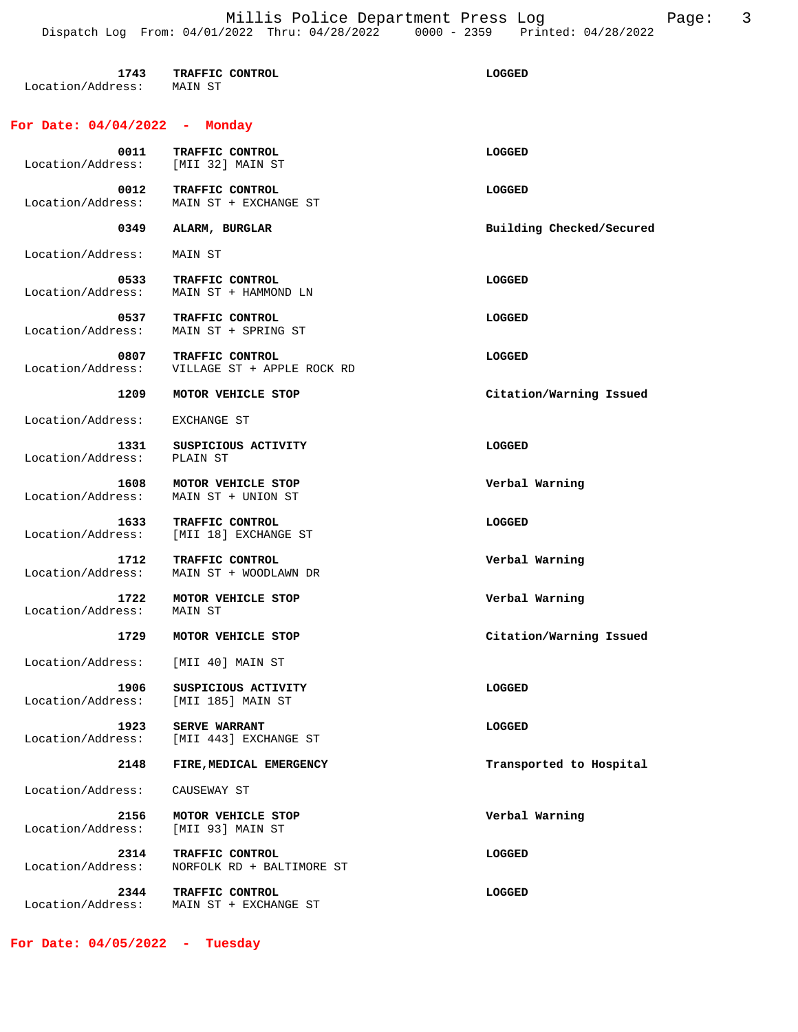| 1743<br>Location/Address: MAIN ST  | <b>TRAFFIC CONTROL</b>                        | LOGGED                   |
|------------------------------------|-----------------------------------------------|--------------------------|
| For Date: 04/04/2022 -             | Monday                                        |                          |
| Location/Address: [MII 32] MAIN ST | 0011 TRAFFIC CONTROL                          | LOGGED                   |
| 0012<br>Location/Address:          | TRAFFIC CONTROL<br>MAIN ST + EXCHANGE ST      | LOGGED                   |
| 0349                               | ALARM, BURGLAR                                | Building Checked/Secured |
| Location/Address:                  | MAIN ST                                       |                          |
| 0533<br>Location/Address:          | TRAFFIC CONTROL<br>MAIN ST + HAMMOND LN       | LOGGED                   |
| 0537<br>Location/Address:          | TRAFFIC CONTROL<br>MAIN ST + SPRING ST        | <b>LOGGED</b>            |
| 0807<br>Location/Address:          | TRAFFIC CONTROL<br>VILLAGE ST + APPLE ROCK RD | LOGGED                   |
| 1209                               | MOTOR VEHICLE STOP                            | Citation/Warning Issued  |
| Location/Address:                  | EXCHANGE ST                                   |                          |
| 1331<br>Location/Address:          | SUSPICIOUS ACTIVITY<br>PLAIN ST               | LOGGED                   |
| 1608<br>Location/Address:          | MOTOR VEHICLE STOP<br>MAIN ST + UNION ST      | Verbal Warning           |
| 1633<br>Location/Address:          | TRAFFIC CONTROL<br>[MII 18] EXCHANGE ST       | LOGGED                   |
| 1712<br>Location/Address:          | TRAFFIC CONTROL<br>MAIN ST + WOODLAWN DR      | Verbal Warning           |
| 1722<br>Location/Address:          | MOTOR VEHICLE STOP<br>MAIN ST                 | Verbal Warning           |
| 1729                               | MOTOR VEHICLE STOP                            | Citation/Warning Issued  |
| Location/Address: [MII 40] MAIN ST |                                               |                          |
| 1906<br>Location/Address:          | SUSPICIOUS ACTIVITY<br>[MII 185] MAIN ST      | LOGGED                   |
| 1923<br>Location/Address:          | <b>SERVE WARRANT</b><br>[MII 443] EXCHANGE ST | LOGGED                   |
| 2148                               | FIRE, MEDICAL EMERGENCY                       | Transported to Hospital  |
| Location/Address:                  | CAUSEWAY ST                                   |                          |
| 2156<br>Location/Address:          | MOTOR VEHICLE STOP<br>[MII 93] MAIN ST        | Verbal Warning           |
| 2314<br>Location/Address:          | TRAFFIC CONTROL<br>NORFOLK RD + BALTIMORE ST  | LOGGED                   |
| 2344<br>Location/Address:          | TRAFFIC CONTROL<br>MAIN ST + EXCHANGE ST      | LOGGED                   |

**For Date: 04/05/2022 - Tuesday**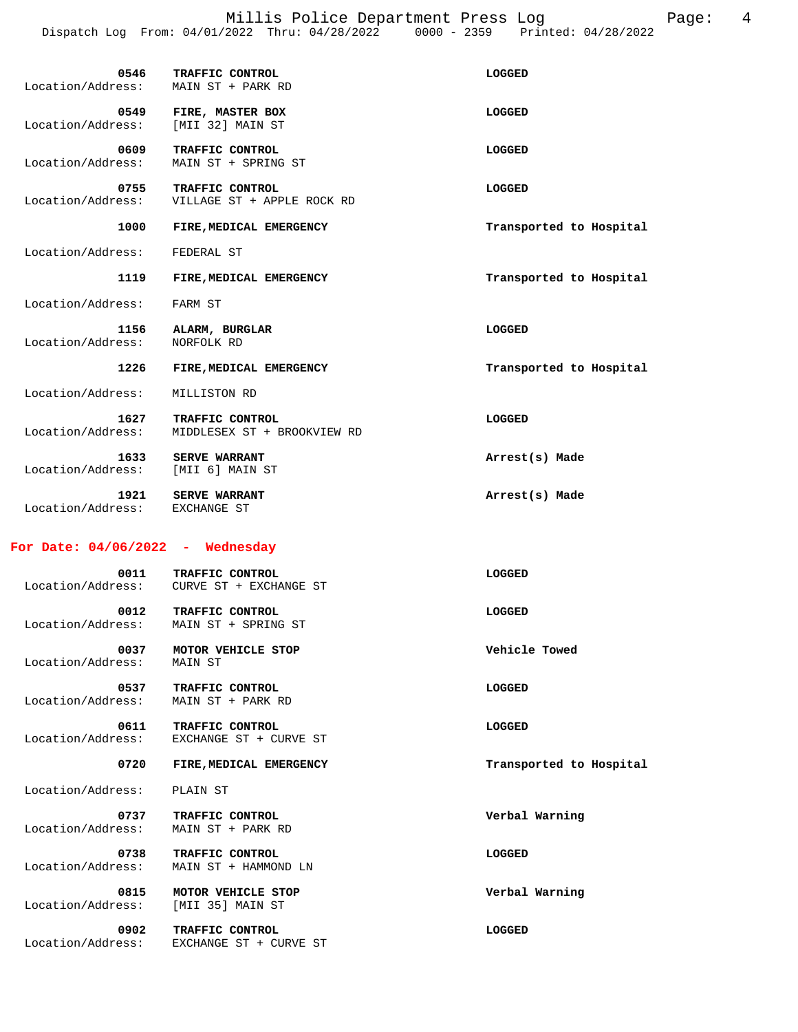Millis Police Department Press Log Page: 4 Dispatch Log From: 04/01/2022 Thru: 04/28/2022 0000 - 2359 Printed: 04/28/2022

| 0546<br>Location/Address: | TRAFFIC CONTROL<br>MAIN ST + PARK RD           | LOGGED                  |
|---------------------------|------------------------------------------------|-------------------------|
| 0549<br>Location/Address: | FIRE, MASTER BOX<br>[MII 32] MAIN ST           | LOGGED                  |
| 0609<br>Location/Address: | TRAFFIC CONTROL<br>MAIN ST + SPRING ST         | LOGGED                  |
| 0755<br>Location/Address: | TRAFFIC CONTROL<br>VILLAGE ST + APPLE ROCK RD  | LOGGED                  |
| 1000                      | FIRE, MEDICAL EMERGENCY                        | Transported to Hospital |
| Location/Address:         | FEDERAL ST                                     |                         |
| 1119                      | FIRE, MEDICAL EMERGENCY                        | Transported to Hospital |
| Location/Address:         | FARM ST                                        |                         |
| 1156<br>Location/Address: | ALARM, BURGLAR<br>NORFOLK RD                   | LOGGED                  |
| 1226                      | FIRE, MEDICAL EMERGENCY                        | Transported to Hospital |
| Location/Address:         | MILLISTON RD                                   |                         |
| 1627<br>Location/Address: | TRAFFIC CONTROL<br>MIDDLESEX ST + BROOKVIEW RD | LOGGED                  |
| 1633<br>Location/Address: | <b>SERVE WARRANT</b><br>[MII 6] MAIN ST        | Arrest(s) Made          |
| 1921<br>Location/Address: | <b>SERVE WARRANT</b><br>EXCHANGE ST            | Arrest(s) Made          |
|                           |                                                |                         |

### **For Date: 04/06/2022 - Wednesday**

| 0011<br>Location/Address: | TRAFFIC CONTROL<br>CURVE ST + EXCHANGE ST | LOGGED                  |
|---------------------------|-------------------------------------------|-------------------------|
| 0012<br>Location/Address: | TRAFFIC CONTROL<br>MAIN ST + SPRING ST    | <b>LOGGED</b>           |
| 0037<br>Location/Address: | MOTOR VEHICLE STOP<br>MAIN ST             | Vehicle Towed           |
| 0537<br>Location/Address: | TRAFFIC CONTROL<br>MAIN ST + PARK RD      | LOGGED                  |
| 0611<br>Location/Address: | TRAFFIC CONTROL<br>EXCHANGE ST + CURVE ST | LOGGED                  |
| 0720                      | FIRE, MEDICAL EMERGENCY                   | Transported to Hospital |
|                           |                                           |                         |
| Location/Address:         | PLAIN ST                                  |                         |
| 0737<br>Location/Address: | TRAFFIC CONTROL<br>MAIN ST + PARK RD      | Verbal Warning          |
| 0738<br>Location/Address: | TRAFFIC CONTROL<br>MAIN ST + HAMMOND LN   | LOGGED                  |
| 0815<br>Location/Address: | MOTOR VEHICLE STOP<br>[MII 35] MAIN ST    | Verbal Warning          |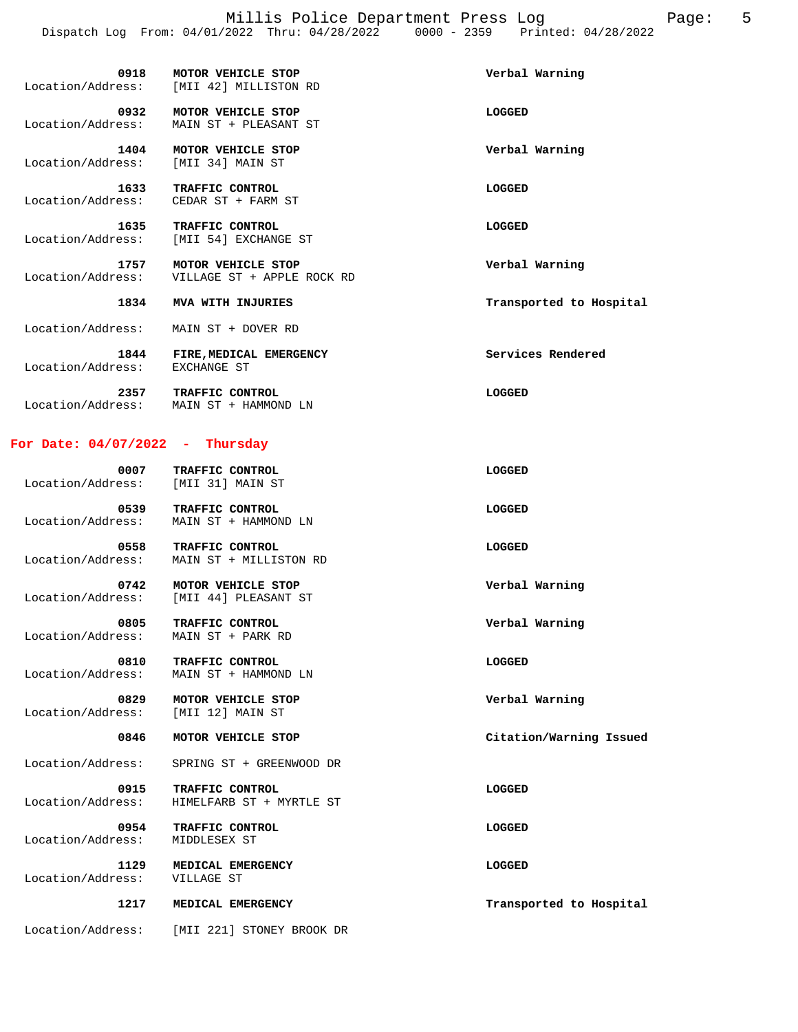Millis Police Department Press Log Fage: 5 Dispatch Log From: 04/01/2022 Thru: 04/28/2022 0000 - 2359 Printed: 04/28/2022

| 0918                      | MOTOR VEHICLE STOP<br>Location/Address: [MII 42] MILLISTON RD | Verbal Warning          |
|---------------------------|---------------------------------------------------------------|-------------------------|
| 0932<br>Location/Address: | MOTOR VEHICLE STOP<br>MAIN ST + PLEASANT ST                   | LOGGED                  |
| 1404<br>Location/Address: | MOTOR VEHICLE STOP<br>[MII 34] MAIN ST                        | Verbal Warning          |
| 1633<br>Location/Address: | TRAFFIC CONTROL<br>CEDAR ST + FARM ST                         | <b>LOGGED</b>           |
| 1635<br>Location/Address: | TRAFFIC CONTROL<br>[MII 54] EXCHANGE ST                       | <b>LOGGED</b>           |
| 1757<br>Location/Address: | MOTOR VEHICLE STOP<br>VILLAGE ST + APPLE ROCK RD              | Verbal Warning          |
| 1834                      | MVA WITH INJURIES                                             | Transported to Hospital |
| Location/Address:         | MAIN ST + DOVER RD                                            |                         |
| 1844<br>Location/Address: | FIRE, MEDICAL EMERGENCY<br>EXCHANGE ST                        | Services Rendered       |
| 2357<br>Location/Address: | TRAFFIC CONTROL<br>MAIN ST + HAMMOND LN                       | LOGGED                  |

#### **For Date: 04/07/2022 - Thursday**

| 0007<br>Location/Address: | TRAFFIC CONTROL<br>[MII 31] MAIN ST | LOGGED |
|---------------------------|-------------------------------------|--------|
| 0539                      | TRAFFIC CONTROL                     | LOGGED |

 Location/Address: MAIN ST + HAMMOND LN  **0558 TRAFFIC CONTROL LOGGED** 

 Location/Address: MAIN ST + MILLISTON RD  **0742 MOTOR VEHICLE STOP Verbal Warning**  Location/Address: [MII 44] PLEASANT ST

 **0805 TRAFFIC CONTROL Verbal Warning**  Location/Address: MAIN ST + PARK RD

0810 TRAFFIC CONTROL **CONTROL** CONTROL Location/Address: MAIN ST + HAMMOND LN

 **0829 MOTOR VEHICLE STOP Verbal Warning**  Location/Address: [MII 12] MAIN ST

#### **0846 MOTOR VEHICLE STOP Citation/Warning Issued**

Location/Address: SPRING ST + GREENWOOD DR

0915 TRAFFIC CONTROL **Example 2016** LOGGED Location/Address: HIMELFARB ST + MYRTLE ST

 **0954 TRAFFIC CONTROL LOGGED**  Location/Address: MIDDLESEX ST

 **1129 MEDICAL EMERGENCY LOGGED**  Location/Address: VILLAGE ST

Location/Address: [MII 221] STONEY BROOK DR

 **1217 MEDICAL EMERGENCY Transported to Hospital**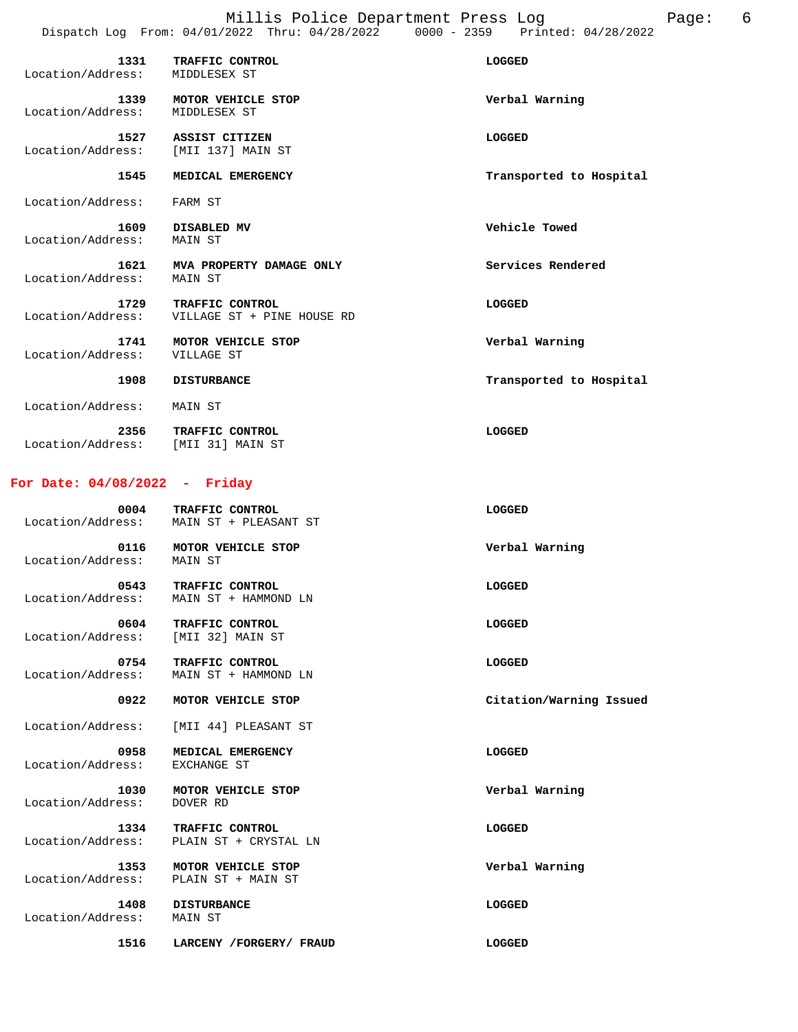| 1331<br>Location/Address: | TRAFFIC CONTROL<br>MIDDLESEX ST               | LOGGED                  |
|---------------------------|-----------------------------------------------|-------------------------|
| 1339<br>Location/Address: | MOTOR VEHICLE STOP<br>MIDDLESEX ST            | Verbal Warning          |
| 1527<br>Location/Address: | ASSIST CITIZEN<br>[MII 137] MAIN ST           | LOGGED                  |
| 1545                      | MEDICAL EMERGENCY                             | Transported to Hospital |
| Location/Address:         | FARM ST                                       |                         |
| 1609<br>Location/Address: | DISABLED MV<br>MAIN ST                        | Vehicle Towed           |
| 1621<br>Location/Address: | MVA PROPERTY DAMAGE ONLY<br>MAIN ST           | Services Rendered       |
| 1729<br>Location/Address: | TRAFFIC CONTROL<br>VILLAGE ST + PINE HOUSE RD | LOGGED                  |
| 1741<br>Location/Address: | MOTOR VEHICLE STOP<br>VILLAGE ST              | Verbal Warning          |
| 1908                      | <b>DISTURBANCE</b>                            | Transported to Hospital |
| Location/Address:         | MAIN ST                                       |                         |
| 2356<br>Location/Address: | TRAFFIC CONTROL<br>[MII 31] MAIN ST           | LOGGED                  |

#### **For Date: 04/08/2022 - Friday**

| 0004<br>Location/Address: | TRAFFIC CONTROL<br>MAIN ST + PLEASANT ST | LOGGED         |
|---------------------------|------------------------------------------|----------------|
| 0116<br>Location/Address: | MOTOR VEHICLE STOP<br>MAIN ST            | Verbal Warning |

| Location/Address: | MAIN ST + HAMMOND LN |        |  |  |
|-------------------|----------------------|--------|--|--|
| 0604              | TRAFFIC CONTROL      | LOGGED |  |  |
| Location/Address: | [MII 32] MAIN ST     |        |  |  |

 **0543 TRAFFIC CONTROL LOGGED** 

0754 TRAFFIC CONTROL **CONTROL EXECUTE:** Location/Address: MAIN ST + HAMMOND LN

 **0922 MOTOR VEHICLE STOP Citation/Warning Issued** 

Location/Address: [MII 44] PLEASANT ST

0958 MEDICAL EMERGENCY **CONSUMED** Location/Address: EXCHANGE ST

 **1030 MOTOR VEHICLE STOP Verbal Warning**  Location/Address: DOVER RD

 **1334 TRAFFIC CONTROL LOGGED**  Location/Address: PLAIN ST + CRYSTAL LN

 **1353 MOTOR VEHICLE STOP Verbal Warning**  Location/Address: PLAIN ST + MAIN ST

Location/Address: MAIN ST

 **1408 DISTURBANCE LOGGED** 

 **1516 LARCENY /FORGERY/ FRAUD LOGGED**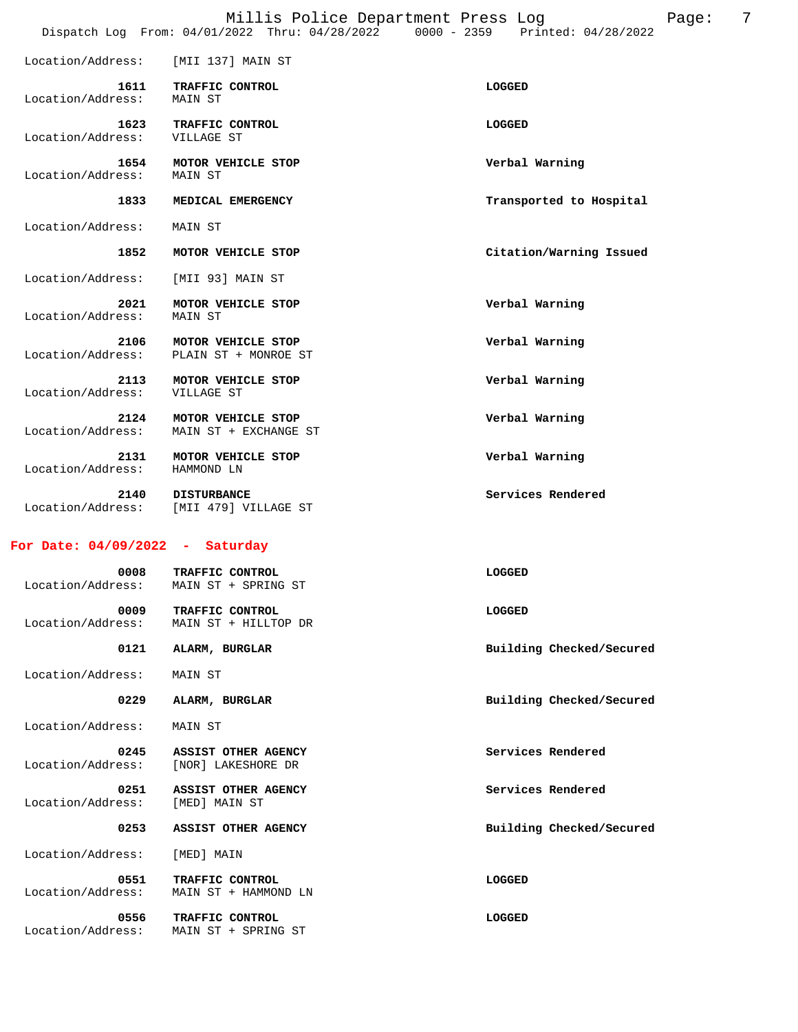|                                                                                |  |  | Millis Police Department Press Log |  |  | Page: |  |
|--------------------------------------------------------------------------------|--|--|------------------------------------|--|--|-------|--|
| Dispatch Log From: 04/01/2022 Thru: 04/28/2022 0000 - 2359 Printed: 04/28/2022 |  |  |                                    |  |  |       |  |

|                           | Dispatch Log From: 04/01/2022 Thru: 04/28/2022 | $0000 - 2359$<br>Printed: 04/28/2022 |
|---------------------------|------------------------------------------------|--------------------------------------|
| Location/Address:         | [MII 137] MAIN ST                              |                                      |
| 1611<br>Location/Address: | TRAFFIC CONTROL<br>MAIN ST                     | LOGGED                               |
| 1623<br>Location/Address: | TRAFFIC CONTROL<br>VILLAGE ST                  | LOGGED                               |
| 1654<br>Location/Address: | MOTOR VEHICLE STOP<br><b>MAIN ST</b>           | Verbal Warning                       |
| 1833                      | MEDICAL EMERGENCY                              | Transported to Hospital              |
| Location/Address:         | MAIN ST                                        |                                      |
| 1852                      | MOTOR VEHICLE STOP                             | Citation/Warning Issued              |
| Location/Address:         | [MII 93] MAIN ST                               |                                      |
| 2021<br>Location/Address: | MOTOR VEHICLE STOP<br>MAIN ST                  | Verbal Warning                       |
| 2106<br>Location/Address: | MOTOR VEHICLE STOP<br>PLAIN ST + MONROE ST     | Verbal Warning                       |
| 2113<br>Location/Address: | MOTOR VEHICLE STOP<br>VILLAGE ST               | Verbal Warning                       |
| 2124<br>Location/Address: | MOTOR VEHICLE STOP<br>MAIN ST + EXCHANGE ST    | Verbal Warning                       |
| 2131<br>Location/Address: | MOTOR VEHICLE STOP<br>HAMMOND LN               | Verbal Warning                       |
| 2140<br>Location/Address: | <b>DISTURBANCE</b><br>[MII 479] VILLAGE ST     | Services Rendered                    |
| For Date: 04/09/2022      | Saturday<br>$\sim$ 10 $\pm$                    |                                      |

| 0008<br>Location/Address: | TRAFFIC CONTROL<br>MAIN ST + SPRING ST    | LOGGED                   |
|---------------------------|-------------------------------------------|--------------------------|
| 0009<br>Location/Address: | TRAFFIC CONTROL<br>MAIN ST + HILLTOP DR   | LOGGED                   |
| 0121                      | ALARM, BURGLAR                            | Building Checked/Secured |
| Location/Address:         | MAIN ST                                   |                          |
| 0229                      | ALARM, BURGLAR                            | Building Checked/Secured |
| Location/Address:         | MAIN ST                                   |                          |
| 0245<br>Location/Address: | ASSIST OTHER AGENCY<br>[NOR] LAKESHORE DR | Services Rendered        |
| 0251<br>Location/Address: | ASSIST OTHER AGENCY<br>[MED] MAIN ST      | Services Rendered        |
| 0253                      | ASSIST OTHER AGENCY                       | Building Checked/Secured |
| Location/Address:         | [MED] MAIN                                |                          |
| 0551<br>Location/Address: | TRAFFIC CONTROL<br>MAIN ST + HAMMOND LN   | <b>LOGGED</b>            |
| 0556<br>Location/Address: | TRAFFIC CONTROL<br>MAIN ST + SPRING ST    | LOGGED                   |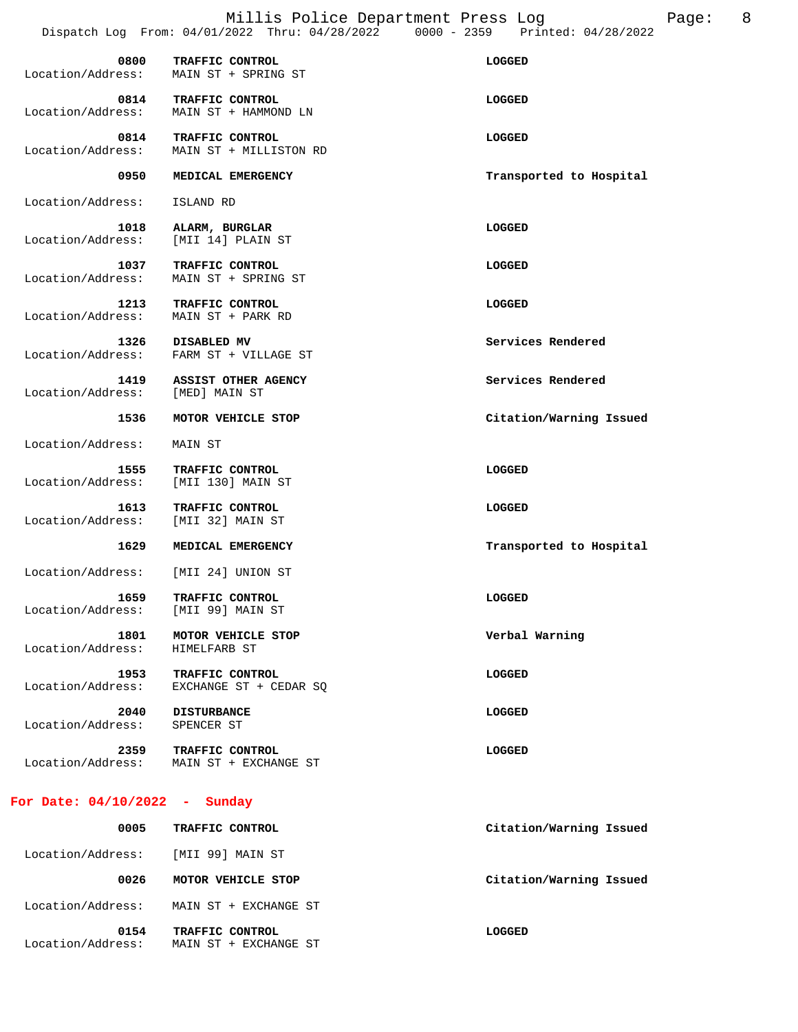$\begin{array}{cc} \text{Page:} & 8 \\ \text{B/2022} & \end{array}$ 

|                                             | Millis Police Department Press Log                             | Dispatch Log From: 04/01/2022 Thru: 04/28/2022 0000 - 2359 Printed: 04/28/2022 |
|---------------------------------------------|----------------------------------------------------------------|--------------------------------------------------------------------------------|
| 0800<br>Location/Address:                   | TRAFFIC CONTROL<br>MAIN ST + SPRING ST                         | LOGGED                                                                         |
|                                             | 0814 TRAFFIC CONTROL<br>Location/Address: MAIN ST + HAMMOND LN | LOGGED                                                                         |
| 0814<br>Location/Address:                   | <b>TRAFFIC CONTROL</b><br>MAIN ST + MILLISTON RD               | <b>LOGGED</b>                                                                  |
| 0950                                        | MEDICAL EMERGENCY                                              | Transported to Hospital                                                        |
| Location/Address:                           | ISLAND RD                                                      |                                                                                |
| 1018<br>Location/Address:                   | ALARM, BURGLAR<br>[MII 14] PLAIN ST                            | LOGGED                                                                         |
| 1037<br>Location/Address:                   | TRAFFIC CONTROL<br>MAIN ST + SPRING ST                         | LOGGED                                                                         |
| 1213<br>Location/Address:                   | <b>TRAFFIC CONTROL</b><br>MAIN ST + PARK RD                    | LOGGED                                                                         |
| 1326<br>Location/Address:                   | DISABLED MV<br>FARM ST + VILLAGE ST                            | Services Rendered                                                              |
| 1419<br>Location/Address:                   | <b>ASSIST OTHER AGENCY</b><br>[MED] MAIN ST                    | Services Rendered                                                              |
| 1536                                        | MOTOR VEHICLE STOP                                             | Citation/Warning Issued                                                        |
| Location/Address:                           | MAIN ST                                                        |                                                                                |
| 1555<br>Location/Address: [MII 130] MAIN ST | TRAFFIC CONTROL                                                | LOGGED                                                                         |
| 1613<br>Location/Address:                   | TRAFFIC CONTROL<br>[MII 32] MAIN ST                            | LOGGED                                                                         |
| 1629                                        | MEDICAL EMERGENCY                                              | Transported to Hospital                                                        |
| Location/Address: [MII 24] UNION ST         |                                                                |                                                                                |
| 1659<br>Location/Address:                   | TRAFFIC CONTROL<br>[MII 99] MAIN ST                            | LOGGED                                                                         |
| 1801<br>Location/Address:                   | MOTOR VEHICLE STOP<br>HIMELFARB ST                             | Verbal Warning                                                                 |
| 1953<br>Location/Address:                   | <b>TRAFFIC CONTROL</b><br>EXCHANGE ST + CEDAR SQ               | LOGGED                                                                         |

**2040** DISTURBANCE LOGGED

Location/Address: SPENCER ST

 **2359 TRAFFIC CONTROL LOGGED**  Location/Address: MAIN ST + EXCHANGE ST

### **For Date: 04/10/2022 - Sunday**

| 0005                      | TRAFFIC CONTROL                          | Citation/Warning Issued |
|---------------------------|------------------------------------------|-------------------------|
| Location/Address:         | [MII 99] MAIN ST                         |                         |
| 0026                      | MOTOR VEHICLE STOP                       | Citation/Warning Issued |
| Location/Address:         | MAIN ST + EXCHANGE ST                    |                         |
| 0154<br>Location/Address: | TRAFFIC CONTROL<br>MAIN ST + EXCHANGE ST | LOGGED                  |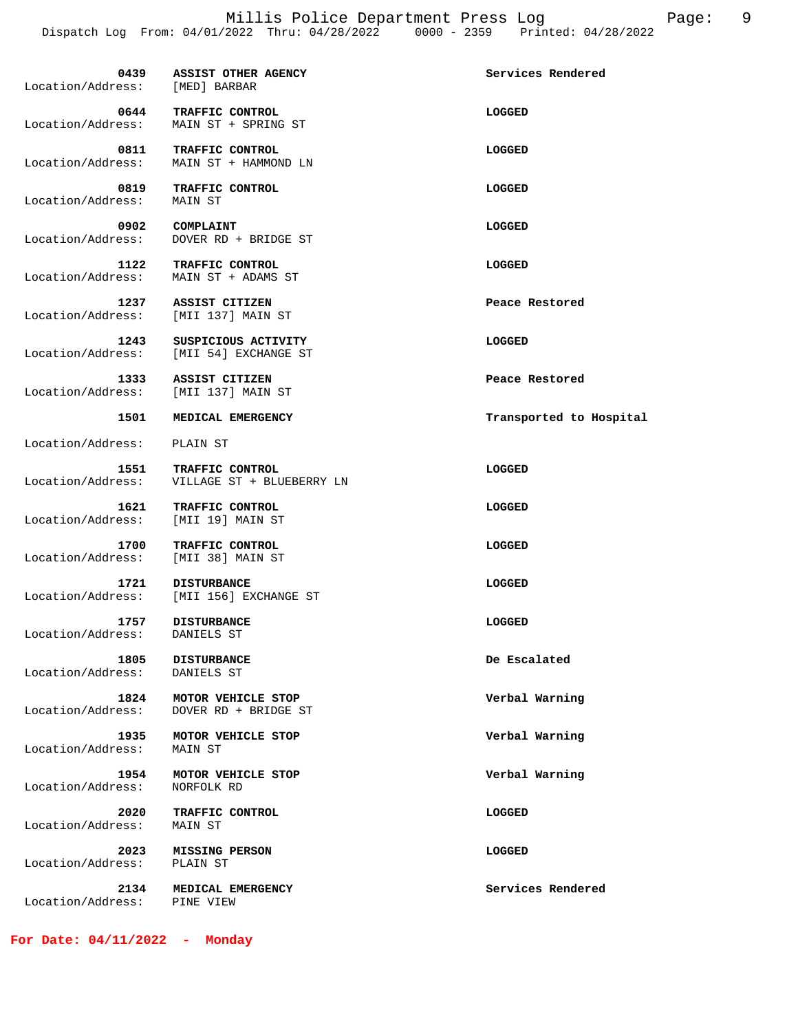0439 ASSIST OTHER AGENCY **Services Rendered Services** Rendered Location/Address: [MED] BARBAR  **0644 TRAFFIC CONTROL LOGGED**  Location/Address: MAIN ST + SPRING ST  **0811 TRAFFIC CONTROL LOGGED**  Location/Address: MAIN ST + HAMMOND LN  **0819 TRAFFIC CONTROL LOGGED**  Location/Address: MAIN ST  **0902 COMPLAINT LOGGED**  Location/Address: DOVER RD + BRIDGE ST  **1122 TRAFFIC CONTROL LOGGED**  Location/Address: MAIN ST + ADAMS ST  **1237 ASSIST CITIZEN Peace Restored**  Location/Address: [MII 137] MAIN ST  **1243 SUSPICIOUS ACTIVITY LOGGED**  Location/Address: [MII 54] EXCHANGE ST **1333 ASSIST CITIZEN** Peace Restored **1333** ASSIST CITIZEN **Peace Restored**  Location/Address: [MII 137] MAIN ST  **1501 MEDICAL EMERGENCY Transported to Hospital**  Location/Address: PLAIN ST  **1551 TRAFFIC CONTROL LOGGED**  Location/Address: VILLAGE ST + BLUEBERRY LN  **1621 TRAFFIC CONTROL LOGGED**  Location/Address: [MII 19] MAIN ST  **1700 TRAFFIC CONTROL LOGGED**  Location/Address: [MII 38] MAIN ST **1721 DISTURBANCE LOGGED**  Location/Address: [MII 156] EXCHANGE ST **1757 DISTURBANCE LOGGED**  Location/Address: DANIELS ST  **1805 DISTURBANCE De Escalated**  Location/Address: DANIELS ST  **1824 MOTOR VEHICLE STOP Verbal Warning**  Location/Address: DOVER RD + BRIDGE ST  **1935 MOTOR VEHICLE STOP Verbal Warning**  Location/Address:  **1954 MOTOR VEHICLE STOP Verbal Warning**  Location/Address: NORFOLK RD  **2020 TRAFFIC CONTROL CONTROL CONTROL CONTROL CONTROL**<br>
ress: MAIN ST Location/Address:  **2023 MISSING PERSON LOGGED**  Location/Address: PLAIN ST  **2134 MEDICAL EMERGENCY Services Rendered**  Location/Address: PINE VIEW

**For Date: 04/11/2022 - Monday**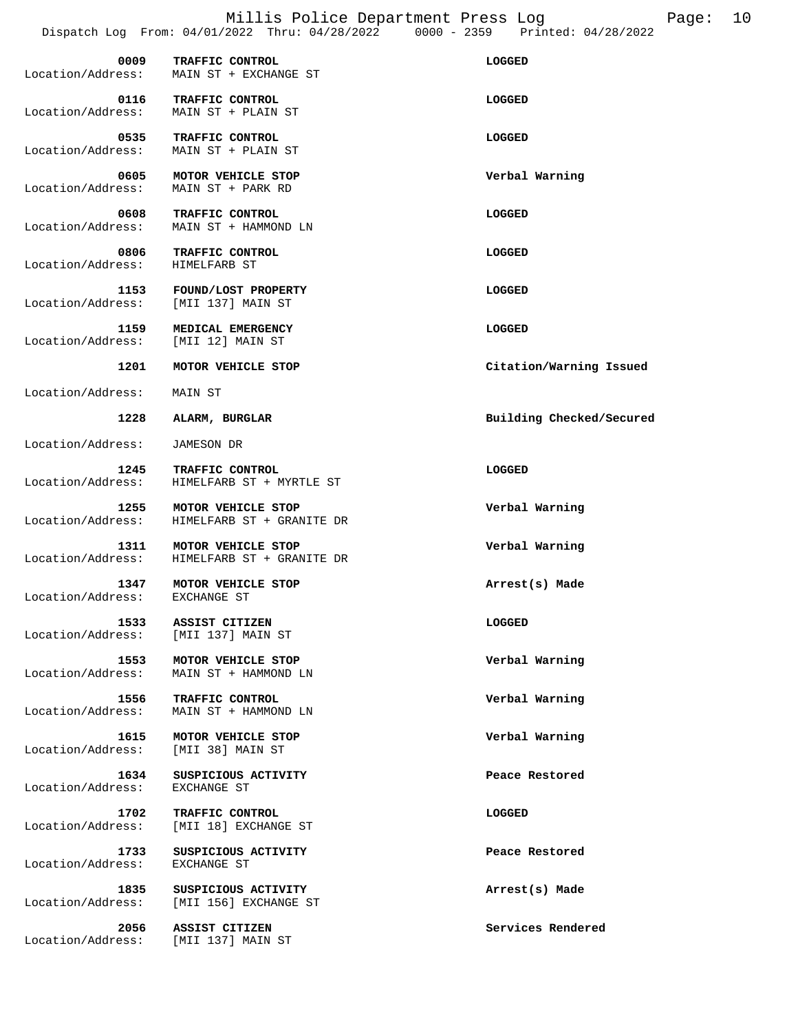Millis Police Department Press Log Fage: 10 Dispatch Log From: 04/01/2022 Thru: 04/28/2022 0000 - 2359 Printed: 04/28/2022

| 0009              | TRAFFIC CONTROL       | LOGGED |
|-------------------|-----------------------|--------|
| Location/Address: | MAIN ST + EXCHANGE ST |        |
| 0116              | TRAFFIC CONTROL       | LOGGED |
| Location/Address: | MAIN ST + PLAIN ST    |        |
| 0535              | TRAFFIC CONTROL       | LOGGED |
| Location/Address: | MAIN ST + PLAIN ST    |        |

 **0605 MOTOR VEHICLE STOP Verbal Warning**  Location/Address: MAIN ST + PARK RD

 **0608 TRAFFIC CONTROL**<br>
Location/Address: MAIN ST + HAMMOND LN MAIN ST + HAMMOND LN

 **0806 TRAFFIC CONTROL LOGGED**  Location/Address:

 **1153 FOUND/LOST PROPERTY LOGGED**  Location/Address:

 **1159 MEDICAL EMERGENCY LOGGED**  Location/Address: [MII 12] MAIN ST

 **1201 MOTOR VEHICLE STOP Citation/Warning Issued** 

Location/Address: MAIN ST

Location/Address: JAMESON DR

Location/Address: HIMELFARB ST + MYRTLE ST

Location/Address: EXCHANGE ST

Location/Address:

Location/Address: EXCHANGE ST

 **1255 MOTOR VEHICLE STOP Verbal Warning**  Location/Address: HIMELFARB ST + GRANITE DR

 **1311 MOTOR VEHICLE STOP Verbal Warning**  Location/Address: HIMELFARB ST + GRANITE DR

 **1347 MOTOR VEHICLE STOP Arrest(s) Made** 

 **1533 ASSIST CITIZEN LOGGED**  Location/Address: [MII 137] MAIN ST

**1553 MOTOR VEHICLE STOP 1553 MOTOR VEHICLE STOP Verbal Warning 160** MAIN ST + HAMMOND LN

 **1556 TRAFFIC CONTROL Verbal Warning**  Location/Address: MAIN ST + HAMMOND LN

 **1615 MOTOR VEHICLE STOP Verbal Warning**  Location/Address: [MII 38] MAIN ST

**1634 SUSPICIOUS ACTIVITY CONSUMING Reace Restored**<br> **EXCHANGE ST** 

 **1702 TRAFFIC CONTROL LOGGED**  Location/Address: [MII 18] EXCHANGE ST

 **1733 SUSPICIOUS ACTIVITY Peace Restored** 

1835 SUSPICIOUS ACTIVITY **Arrest(s)** Made Location/Address: [MII 156] EXCHANGE ST

 **2056 ASSIST CITIZEN Services Rendered**  Location/Address: [MII 137] MAIN ST

 **1228 ALARM, BURGLAR Building Checked/Secured** 

 **1245 TRAFFIC CONTROL LOGGED**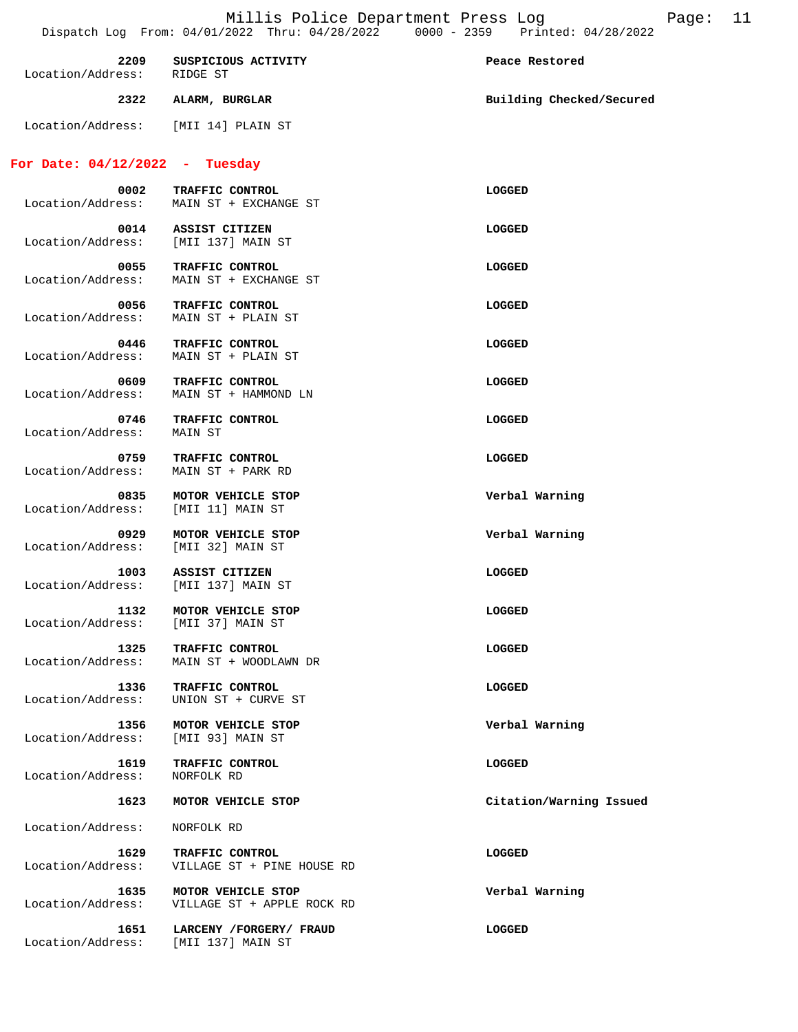| 2209<br>Location/Address:                   | SUSPICIOUS ACTIVITY<br>RIDGE ST                  | Peace Restored           |
|---------------------------------------------|--------------------------------------------------|--------------------------|
|                                             | 2322 ALARM, BURGLAR                              | Building Checked/Secured |
| Location/Address: [MII 14] PLAIN ST         |                                                  |                          |
| For Date: $04/12/2022$ - Tuesday            |                                                  |                          |
| 0002<br>Location/Address:                   | TRAFFIC CONTROL<br>MAIN ST + EXCHANGE ST         | LOGGED                   |
| 0014<br>Location/Address: [MII 137] MAIN ST | ASSIST CITIZEN                                   | LOGGED                   |
| 0055<br>Location/Address:                   | TRAFFIC CONTROL<br>MAIN ST + EXCHANGE ST         | LOGGED                   |
| 0056<br>Location/Address:                   | TRAFFIC CONTROL<br>MAIN ST + PLAIN ST            | LOGGED                   |
| 0446<br>Location/Address:                   | TRAFFIC CONTROL<br>MAIN ST + PLAIN ST            | LOGGED                   |
| 0609<br>Location/Address:                   | TRAFFIC CONTROL<br>MAIN ST + HAMMOND LN          | LOGGED                   |
| 0746<br>Location/Address:                   | TRAFFIC CONTROL<br>MAIN ST                       | LOGGED                   |
| 0759<br>Location/Address:                   | TRAFFIC CONTROL<br>MAIN ST + PARK RD             | LOGGED                   |
| 0835<br>Location/Address:                   | MOTOR VEHICLE STOP<br>[MII 11] MAIN ST           | Verbal Warning           |
| 0929<br>Location/Address:                   | MOTOR VEHICLE STOP<br>[MII 32] MAIN ST           | Verbal Warning           |
| 1003<br>Location/Address: [MII 137] MAIN ST | ASSIST CITIZEN                                   | LOGGED                   |
| 1132<br>Location/Address: [MII 37] MAIN ST  | MOTOR VEHICLE STOP                               | LOGGED                   |
| 1325<br>Location/Address:                   | TRAFFIC CONTROL<br>MAIN ST + WOODLAWN DR         | LOGGED                   |
| 1336<br>Location/Address:                   | TRAFFIC CONTROL<br>UNION ST + CURVE ST           | LOGGED                   |
| 1356                                        | MOTOR VEHICLE STOP                               | Verbal Warning           |
| Location/Address:<br>1619                   | [MII 93] MAIN ST<br>TRAFFIC CONTROL              | LOGGED                   |
| Location/Address:<br>1623                   | NORFOLK RD                                       |                          |
| Location/Address:                           | MOTOR VEHICLE STOP                               | Citation/Warning Issued  |
| 1629                                        | NORFOLK RD<br>TRAFFIC CONTROL                    | LOGGED                   |
| Location/Address:                           | VILLAGE ST + PINE HOUSE RD                       |                          |
| 1635<br>Location/Address:                   | MOTOR VEHICLE STOP<br>VILLAGE ST + APPLE ROCK RD | Verbal Warning           |
| 1651<br>Location/Address:                   | LARCENY / FORGERY / FRAUD<br>[MII 137] MAIN ST   | LOGGED                   |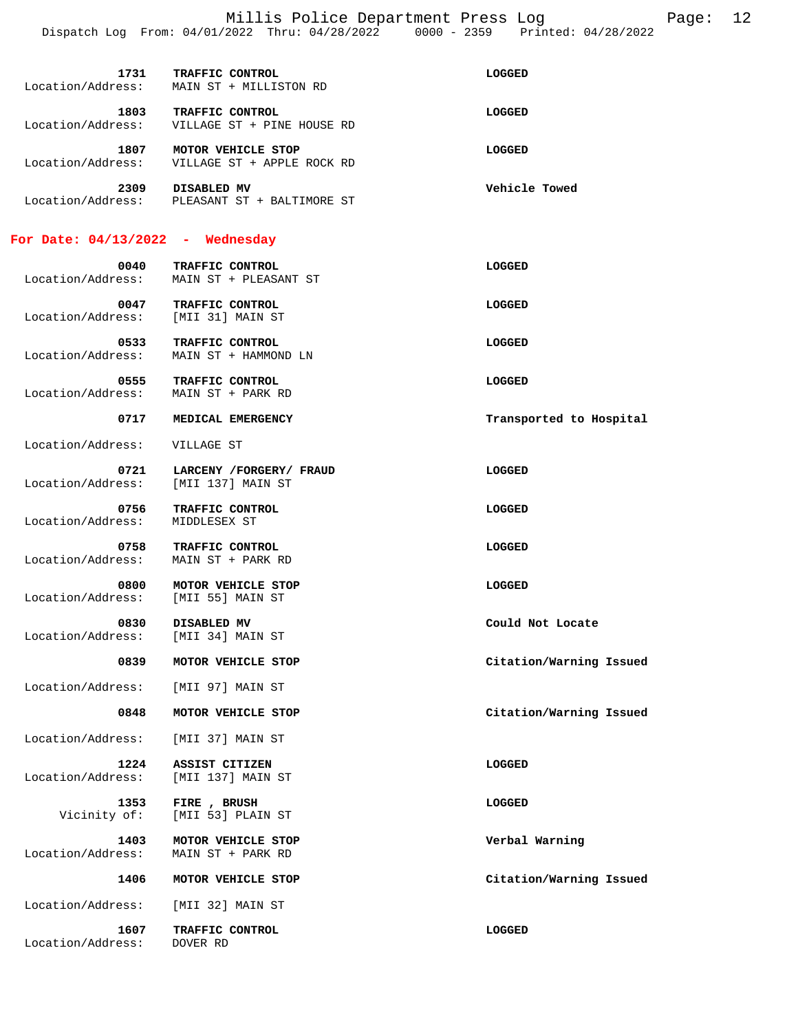Millis Police Department Press Log Page: 12 Dispatch Log From: 04/01/2022 Thru: 04/28/2022 0000 - 2359 Printed: 04/28/2022

| 1731<br>Location/Address: | TRAFFIC CONTROL<br>MAIN ST + MILLISTON RD        | LOGGED        |
|---------------------------|--------------------------------------------------|---------------|
| 1803<br>Location/Address: | TRAFFIC CONTROL<br>VILLAGE ST + PINE HOUSE RD    | LOGGED        |
| 1807<br>Location/Address: | MOTOR VEHICLE STOP<br>VILLAGE ST + APPLE ROCK RD | LOGGED        |
| 2309<br>Location/Address: | DISABLED MV<br>PLEASANT ST + BALTIMORE ST        | Vehicle Towed |

#### **For Date: 04/13/2022 - Wednesday**

Location/Address: DOVER RD

| Location/Address:                          | 0040 TRAFFIC CONTROL<br>MAIN ST + PLEASANT ST      | LOGGED                  |
|--------------------------------------------|----------------------------------------------------|-------------------------|
| 0047<br>Location/Address: [MII 31] MAIN ST | <b>TRAFFIC CONTROL</b>                             | LOGGED                  |
| 0533<br>Location/Address:                  | TRAFFIC CONTROL<br>MAIN ST + HAMMOND LN            | LOGGED                  |
| 0555<br>Location/Address:                  | TRAFFIC CONTROL<br>MAIN ST + PARK RD               | <b>LOGGED</b>           |
| 0717                                       | MEDICAL EMERGENCY                                  | Transported to Hospital |
| Location/Address:                          | VILLAGE ST                                         |                         |
| 0721<br>Location/Address:                  | LARCENY / FORGERY / FRAUD<br>[MII 137] MAIN ST     | LOGGED                  |
| 0756<br>Location/Address:                  | TRAFFIC CONTROL<br>MIDDLESEX ST                    | LOGGED                  |
| 0758<br>Location/Address:                  | TRAFFIC CONTROL<br>MAIN ST + PARK RD               | LOGGED                  |
| 0800<br>Location/Address:                  | MOTOR VEHICLE STOP<br>[MII 55] MAIN ST             | <b>LOGGED</b>           |
| Location/Address:                          | 0830 DISABLED MV<br>[MII 34] MAIN ST               | Could Not Locate        |
| 0839                                       | MOTOR VEHICLE STOP                                 | Citation/Warning Issued |
| Location/Address:                          | [MII 97] MAIN ST                                   |                         |
| 0848                                       | MOTOR VEHICLE STOP                                 | Citation/Warning Issued |
| Location/Address:                          | [MII 37] MAIN ST                                   |                         |
| 1224<br>Location/Address:                  | ASSIST CITIZEN<br>[MII 137] MAIN ST                | LOGGED                  |
|                                            | 1353 FIRE, BRUSH<br>Vicinity of: [MII 53] PLAIN ST | LOGGED                  |
| 1403<br>Location/Address:                  | MOTOR VEHICLE STOP<br>MAIN ST + PARK RD            | Verbal Warning          |
| 1406                                       | MOTOR VEHICLE STOP                                 | Citation/Warning Issued |
| Location/Address:                          | [MII 32] MAIN ST                                   |                         |

 **1607 TRAFFIC CONTROL LOGGED**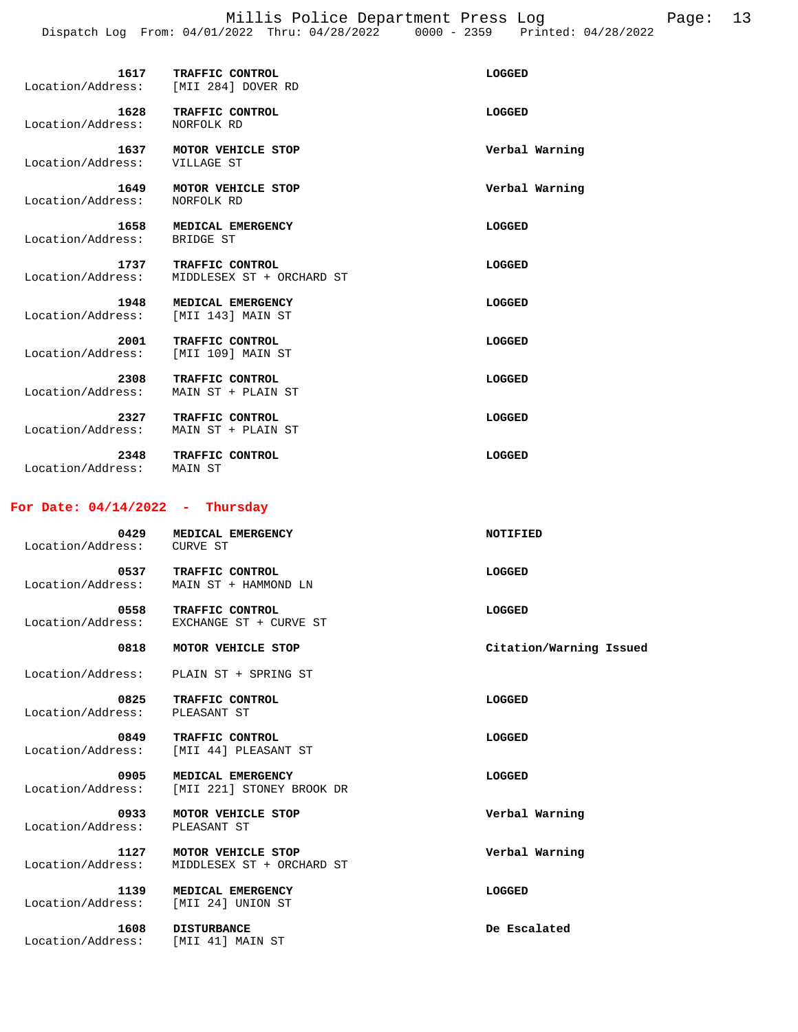Millis Police Department Press Log Page: 13 Dispatch Log From: 04/01/2022 Thru: 04/28/2022 0000 - 2359 Printed: 04/28/2022

| 1617<br>Location/Address: | TRAFFIC CONTROL<br>[MII 284] DOVER RD | LOGGED         |
|---------------------------|---------------------------------------|----------------|
| 1628<br>Location/Address: | TRAFFIC CONTROL<br>NORFOLK RD         | LOGGED         |
| 1637<br>Location/Address: | MOTOR VEHICLE STOP<br>VILLAGE ST      | Verbal Warning |
| 1649<br>Location/Address: | MOTOR VEHICLE STOP<br>NORFOLK RD      | Verbal Warning |

| Location/Address: | BRIDGE ST                 |        |
|-------------------|---------------------------|--------|
| 1737              | TRAFFIC CONTROL           | LOGGED |
| Location/Address: | MIDDLESEX ST + ORCHARD ST |        |

| 1948              | MEDICAL EMERGENCY | LOGGED |
|-------------------|-------------------|--------|
| Location/Address: | [MII 143] MAIN ST |        |

 **1658 MEDICAL EMERGENCY LOGGED** 

| 2001<br>Location/Address: | TRAFFIC CONTROL<br>[MII 109] MAIN ST  | LOGGED |
|---------------------------|---------------------------------------|--------|
| 2308<br>Location/Address: | TRAFFIC CONTROL<br>MAIN ST + PLAIN ST | LOGGED |
| 2327<br>Location/Address: | TRAFFIC CONTROL<br>MAIN ST + PLAIN ST | LOGGED |

| 2348              | <b>TRAFFIC CONTROL</b> | LOGGED |
|-------------------|------------------------|--------|
| Location/Address: | MAIN ST                |        |

### **For Date: 04/14/2022 - Thursday**

| 0429<br>Location/Address: | MEDICAL EMERGENCY<br><b>CURVE ST</b>            | NOTIFIED                |
|---------------------------|-------------------------------------------------|-------------------------|
| 0537<br>Location/Address: | TRAFFIC CONTROL<br>MAIN ST + HAMMOND LN         | LOGGED                  |
| 0558<br>Location/Address: | TRAFFIC CONTROL<br>EXCHANGE ST + CURVE ST       | LOGGED                  |
| 0818                      | MOTOR VEHICLE STOP                              | Citation/Warning Issued |
| Location/Address:         | PLAIN ST + SPRING ST                            |                         |
| 0825<br>Location/Address: | TRAFFIC CONTROL<br>PLEASANT ST                  | LOGGED                  |
| 0849<br>Location/Address: | TRAFFIC CONTROL<br>[MII 44] PLEASANT ST         | LOGGED                  |
| 0905<br>Location/Address: | MEDICAL EMERGENCY<br>[MII 221] STONEY BROOK DR  | LOGGED                  |
| 0933<br>Location/Address: | MOTOR VEHICLE STOP<br>PLEASANT ST               | Verbal Warning          |
| 1127<br>Location/Address: | MOTOR VEHICLE STOP<br>MIDDLESEX ST + ORCHARD ST | Verbal Warning          |
| 1139<br>Location/Address: | MEDICAL EMERGENCY<br>[MII 24] UNION ST          | LOGGED                  |
| 1608<br>Location/Address: | <b>DISTURBANCE</b><br>[MII 41] MAIN ST          | De Escalated            |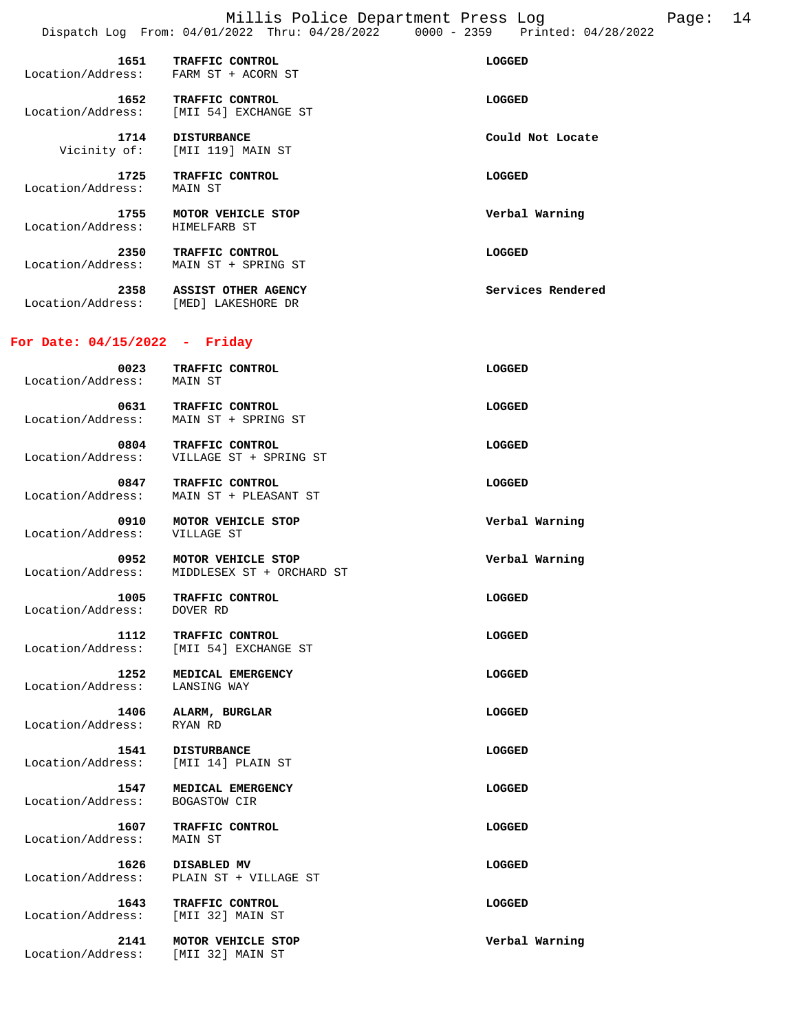Millis Police Department Press Log Page: 14 Dispatch Log From: 04/01/2022 Thru: 04/28/2022 0000 - 2359 Printed: 04/28/2022

| 1651<br>Location/Address: | TRAFFIC CONTROL<br>FARM ST + ACORN ST     | LOGGED            |
|---------------------------|-------------------------------------------|-------------------|
| 1652<br>Location/Address: | TRAFFIC CONTROL<br>[MII 54] EXCHANGE ST   | LOGGED            |
| 1714<br>Vicinity of:      | <b>DISTURBANCE</b><br>[MII 119] MAIN ST   | Could Not Locate  |
| 1725<br>Location/Address: | TRAFFIC CONTROL<br>MAIN ST                | LOGGED            |
| 1755<br>Location/Address: | MOTOR VEHICLE STOP<br>HIMELFARB ST        | Verbal Warning    |
| 2350<br>Location/Address: | TRAFFIC CONTROL<br>MAIN ST + SPRING ST    | LOGGED            |
| 2358<br>Location/Address: | ASSIST OTHER AGENCY<br>[MED] LAKESHORE DR | Services Rendered |

# **For Date: 04/15/2022 - Friday**

| 0023<br>Location/Address:                  | TRAFFIC CONTROL<br>MAIN ST                                       | LOGGED         |
|--------------------------------------------|------------------------------------------------------------------|----------------|
| 0631                                       | TRAFFIC CONTROL<br>Location/Address: MAIN ST + SPRING ST         | LOGGED         |
|                                            | 0804 TRAFFIC CONTROL<br>Location/Address: VILLAGE ST + SPRING ST | LOGGED         |
| 0847<br>Location/Address:                  | TRAFFIC CONTROL<br>MAIN ST + PLEASANT ST                         | LOGGED         |
| 0910<br>Location/Address:                  | MOTOR VEHICLE STOP<br>VILLAGE ST                                 | Verbal Warning |
| 0952<br>Location/Address:                  | MOTOR VEHICLE STOP<br>MIDDLESEX ST + ORCHARD ST                  | Verbal Warning |
| 1005<br>Location/Address: DOVER RD         | TRAFFIC CONTROL                                                  | LOGGED         |
| 1112<br>Location/Address:                  | TRAFFIC CONTROL<br>[MII 54] EXCHANGE ST                          | LOGGED         |
| 1252<br>Location/Address:                  | MEDICAL EMERGENCY<br>LANSING WAY                                 | LOGGED         |
| 1406<br>Location/Address: RYAN RD          | ALARM, BURGLAR                                                   | LOGGED         |
| Location/Address: [MII 14] PLAIN ST        | 1541 DISTURBANCE                                                 | LOGGED         |
| 1547<br>Location/Address:                  | MEDICAL EMERGENCY<br><b>BOGASTOW CIR</b>                         | LOGGED         |
| 1607<br>Location/Address:                  | TRAFFIC CONTROL<br>MAIN ST                                       | LOGGED         |
| 1626<br>Location/Address:                  | DISABLED MV<br>PLAIN ST + VILLAGE ST                             | LOGGED         |
| 1643<br>Location/Address: [MII 32] MAIN ST | TRAFFIC CONTROL                                                  | LOGGED         |
| 2141<br>Location/Address:                  | MOTOR VEHICLE STOP<br>[MII 32] MAIN ST                           | Verbal Warning |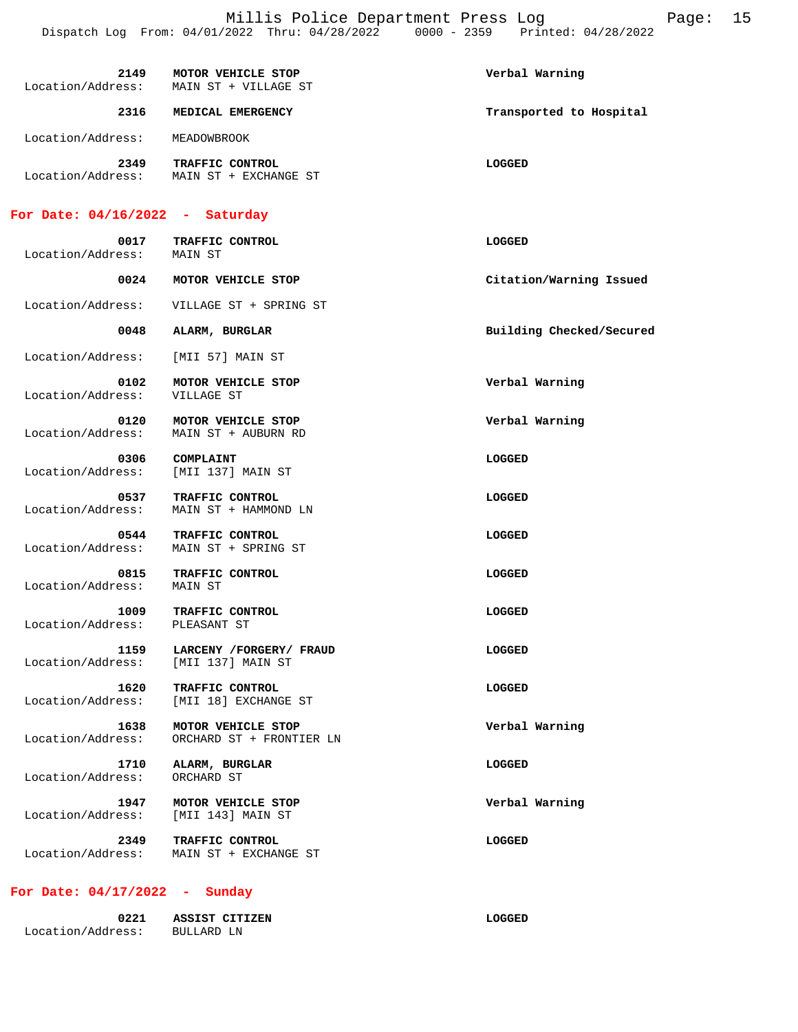| 2149<br>Location/Address: | MOTOR VEHICLE STOP<br>MAIN ST + VILLAGE ST  | Verbal Warning          |
|---------------------------|---------------------------------------------|-------------------------|
| 2316                      | MEDICAL EMERGENCY                           | Transported to Hospital |
| Location/Address:         | MEADOWBROOK                                 |                         |
| 2349<br>Location/Address: | TRAFFIC CONTROL<br>+ EXCHANGE ST<br>MAIN ST | LOGGED                  |

# **For Date: 04/16/2022 - Saturday**

| 0017                      | TRAFFIC CONTROL                                | <b>LOGGED</b>            |
|---------------------------|------------------------------------------------|--------------------------|
| Location/Address:         | MAIN ST                                        |                          |
| 0024                      | MOTOR VEHICLE STOP                             | Citation/Warning Issued  |
| Location/Address:         | VILLAGE ST + SPRING ST                         |                          |
| 0048                      | ALARM, BURGLAR                                 | Building Checked/Secured |
| Location/Address:         | [MII 57] MAIN ST                               |                          |
| 0102<br>Location/Address: | MOTOR VEHICLE STOP<br>VILLAGE ST               | Verbal Warning           |
| 0120<br>Location/Address: | MOTOR VEHICLE STOP<br>MAIN ST + AUBURN RD      | Verbal Warning           |
| 0306<br>Location/Address: | COMPLAINT<br>[MII 137] MAIN ST                 | LOGGED                   |
| 0537<br>Location/Address: | TRAFFIC CONTROL<br>MAIN ST + HAMMOND LN        | LOGGED                   |
| 0544<br>Location/Address: | TRAFFIC CONTROL<br>MAIN ST + SPRING ST         | <b>LOGGED</b>            |
| 0815<br>Location/Address: | TRAFFIC CONTROL<br>MAIN ST                     | LOGGED                   |
| 1009<br>Location/Address: | TRAFFIC CONTROL<br>PLEASANT ST                 | LOGGED                   |
| 1159<br>Location/Address: | LARCENY /FORGERY/ FRAUD<br>[MII 137] MAIN ST   | LOGGED                   |
| 1620<br>Location/Address: | TRAFFIC CONTROL<br>[MII 18] EXCHANGE ST        | LOGGED                   |
| 1638<br>Location/Address: | MOTOR VEHICLE STOP<br>ORCHARD ST + FRONTIER LN | Verbal Warning           |
| 1710<br>Location/Address: | ALARM, BURGLAR<br>ORCHARD ST                   | LOGGED                   |
| 1947<br>Location/Address: | MOTOR VEHICLE STOP<br>[MII 143] MAIN ST        | Verbal Warning           |
| 2349<br>Location/Address: | TRAFFIC CONTROL<br>MAIN ST + EXCHANGE ST       | LOGGED                   |

## **For Date: 04/17/2022 - Sunday**

| 0221              | ASSIST CITIZEN | LOGGED |
|-------------------|----------------|--------|
| Location/Address: | BULLARD LN     |        |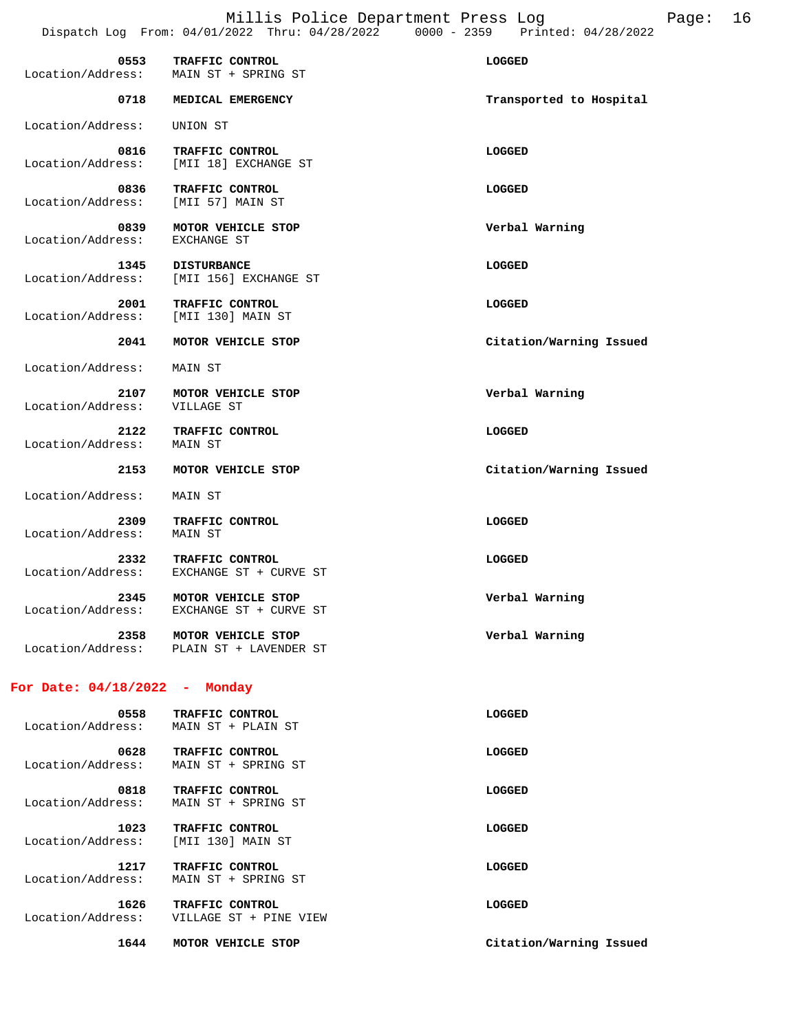| 0553<br>Location/Address: | TRAFFIC CONTROL<br>MAIN ST + SPRING ST                         | LOGGED                  |
|---------------------------|----------------------------------------------------------------|-------------------------|
| 0718                      | MEDICAL EMERGENCY                                              | Transported to Hospital |
| Location/Address:         | UNION ST                                                       |                         |
| 0816<br>Location/Address: | TRAFFIC CONTROL<br>[MII 18] EXCHANGE ST                        | LOGGED                  |
| 0836<br>Location/Address: | TRAFFIC CONTROL<br>[MII 57] MAIN ST                            | LOGGED                  |
| 0839<br>Location/Address: | MOTOR VEHICLE STOP<br>EXCHANGE ST                              | Verbal Warning          |
| 1345<br>Location/Address: | <b>DISTURBANCE</b><br>[MII 156] EXCHANGE ST                    | LOGGED                  |
| 2001<br>Location/Address: | TRAFFIC CONTROL<br>[MII 130] MAIN ST                           | LOGGED                  |
| 2041                      | MOTOR VEHICLE STOP                                             | Citation/Warning Issued |
| Location/Address:         | MAIN ST                                                        |                         |
| 2107<br>Location/Address: | MOTOR VEHICLE STOP<br>VILLAGE ST                               | Verbal Warning          |
| 2122<br>Location/Address: | TRAFFIC CONTROL<br>MAIN ST                                     | LOGGED                  |
| 2153                      | MOTOR VEHICLE STOP                                             | Citation/Warning Issued |
| Location/Address:         | MAIN ST                                                        |                         |
| 2309<br>Location/Address: | TRAFFIC CONTROL<br>MAIN ST                                     | LOGGED                  |
| 2332<br>Location/Address: | TRAFFIC CONTROL<br>EXCHANGE ST + CURVE ST                      | LOGGED                  |
| 2345<br>Location/Address: | MOTOR VEHICLE STOP<br>EXCHANGE ST + CURVE ST                   | Verbal Warning          |
| 2358                      | MOTOR VEHICLE STOP<br>Location/Address: PLAIN ST + LAVENDER ST | Verbal Warning          |

# 0558 TRAFFIC CONTROL **CONTROL CONTROL**  Location/Address: MAIN ST + PLAIN ST 0628 TRAFFIC CONTROL **CONTROL CONTROL**  Location/Address: MAIN ST + SPRING ST 0818 TRAFFIC CONTROL **CONTROL CONTROL**  Location/Address: MAIN ST + SPRING ST  **1023 TRAFFIC CONTROL LOGGED**  Location/Address: [MII 130] MAIN ST  **1217 TRAFFIC CONTROL LOGGED**  Location/Address: MAIN ST + SPRING ST  **1626 TRAFFIC CONTROL LOGGED**  Location/Address: VILLAGE ST + PINE VIEW  **1644 MOTOR VEHICLE STOP Citation/Warning Issued**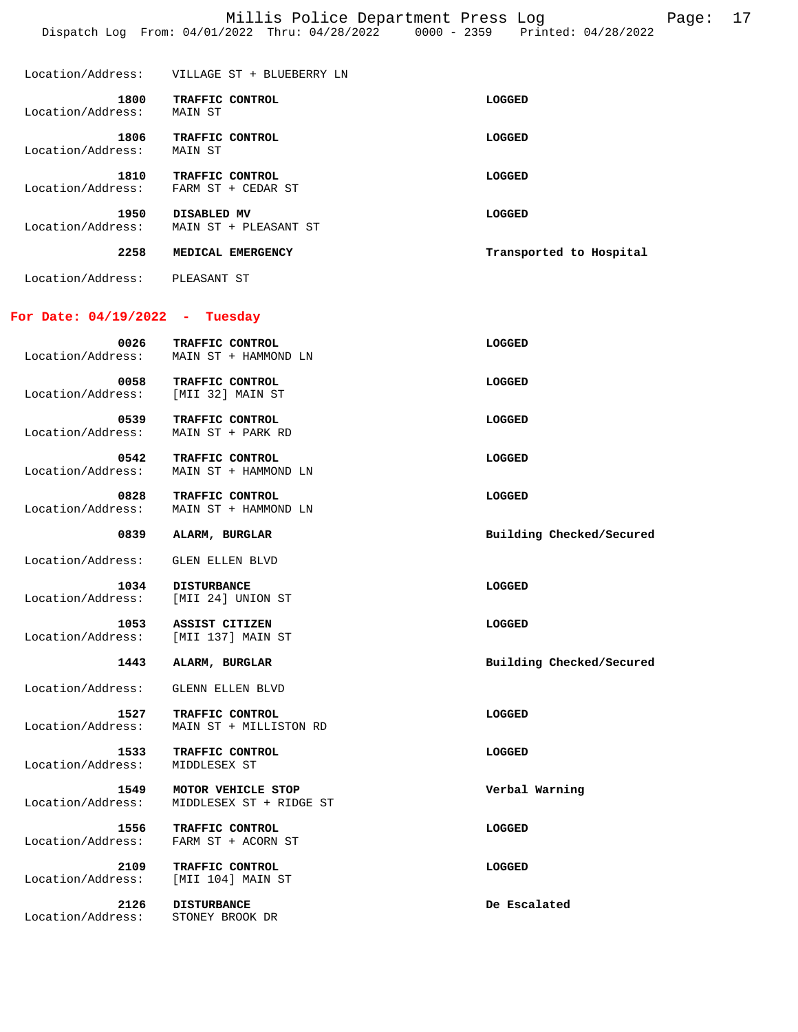| 2258                      | MEDICAL EMERGENCY                     | Transported to Hospital |
|---------------------------|---------------------------------------|-------------------------|
| 1950<br>Location/Address: | DISABLED MV<br>MAIN ST + PLEASANT ST  | LOGGED                  |
| 1810<br>Location/Address: | TRAFFIC CONTROL<br>FARM ST + CEDAR ST | LOGGED                  |
| 1806<br>Location/Address: | TRAFFIC CONTROL<br>MAIN ST            | LOGGED                  |
| 1800<br>Location/Address: | TRAFFIC CONTROL<br>MAIN ST            | LOGGED                  |
| Location/Address:         | VILLAGE ST + BLUEBERRY LN             |                         |

Location/Address: PLEASANT ST

# **For Date: 04/19/2022 - Tuesday**

| 0026<br>Location/Address: | TRAFFIC CONTROL<br>MAIN ST + HAMMOND LN        | LOGGED                   |
|---------------------------|------------------------------------------------|--------------------------|
| 0058<br>Location/Address: | TRAFFIC CONTROL<br>[MII 32] MAIN ST            | LOGGED                   |
| 0539<br>Location/Address: | TRAFFIC CONTROL<br>MAIN ST + PARK RD           | LOGGED                   |
| 0542<br>Location/Address: | TRAFFIC CONTROL<br>MAIN ST + HAMMOND LN        | LOGGED                   |
| 0828<br>Location/Address: | TRAFFIC CONTROL<br>MAIN ST + HAMMOND LN        | LOGGED                   |
| 0839                      | ALARM, BURGLAR                                 | Building Checked/Secured |
| Location/Address:         | GLEN ELLEN BLVD                                |                          |
| 1034<br>Location/Address: | <b>DISTURBANCE</b><br>[MII 24] UNION ST        | LOGGED                   |
| 1053<br>Location/Address: | ASSIST CITIZEN<br>[MII 137] MAIN ST            | LOGGED                   |
| 1443                      | ALARM, BURGLAR                                 | Building Checked/Secured |
| Location/Address:         | GLENN ELLEN BLVD                               |                          |
| Location/Address:         | 1527 TRAFFIC CONTROL<br>MAIN ST + MILLISTON RD | LOGGED                   |
| 1533<br>Location/Address: | TRAFFIC CONTROL<br>MIDDLESEX ST                | LOGGED                   |
| 1549<br>Location/Address: | MOTOR VEHICLE STOP<br>MIDDLESEX ST + RIDGE ST  | Verbal Warning           |
| 1556<br>Location/Address: | TRAFFIC CONTROL<br>FARM ST + ACORN ST          | LOGGED                   |
| 2109<br>Location/Address: | TRAFFIC CONTROL<br>[MII 104] MAIN ST           | LOGGED                   |
| 2126<br>Location/Address: | <b>DISTURBANCE</b><br>STONEY BROOK DR          | De Escalated             |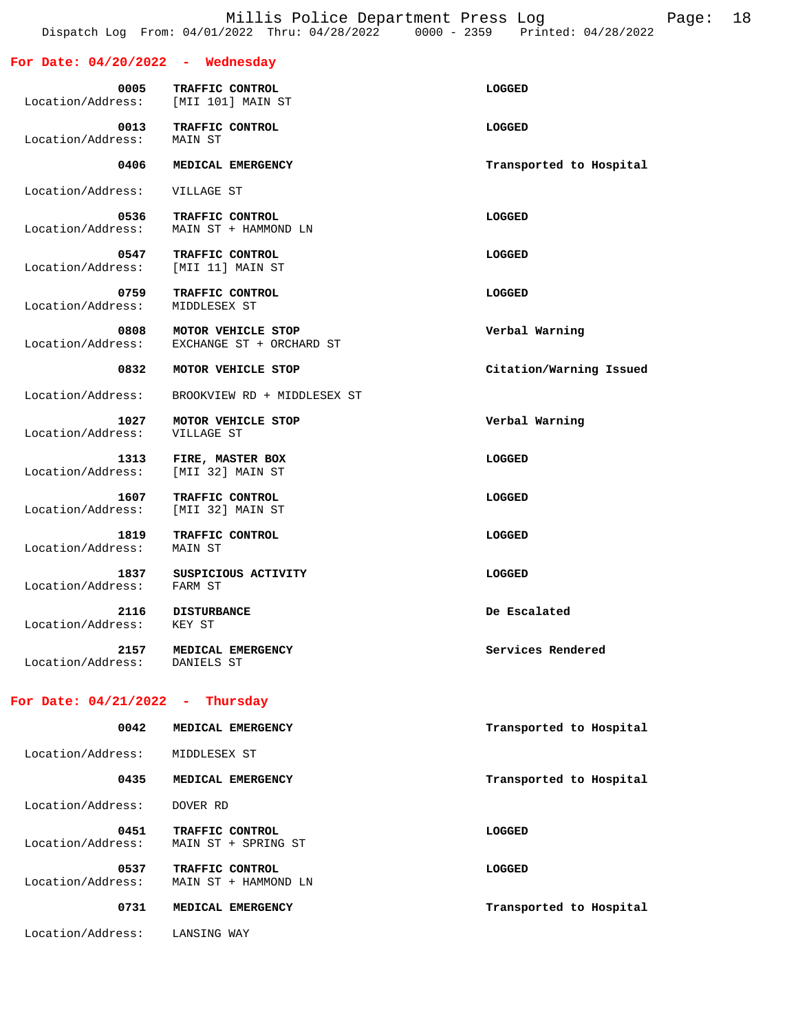Millis Police Department Press Log Page: 18 Dispatch Log From: 04/01/2022 Thru: 04/28/2022 0000 - 2359 Printed: 04/28/2022

| For Date: $04/20/2022$ - Wednesday   |                                                |                         |
|--------------------------------------|------------------------------------------------|-------------------------|
| 0005<br>Location/Address:            | TRAFFIC CONTROL<br>[MII 101] MAIN ST           | LOGGED                  |
| 0013<br>Location/Address:            | TRAFFIC CONTROL<br>MAIN ST                     | LOGGED                  |
| 0406                                 | MEDICAL EMERGENCY                              | Transported to Hospital |
| Location/Address:                    | VILLAGE ST                                     |                         |
| 0536<br>Location/Address:            | TRAFFIC CONTROL<br>MAIN ST + HAMMOND LN        | LOGGED                  |
| 0547<br>Location/Address:            | TRAFFIC CONTROL<br>[MII 11] MAIN ST            | <b>LOGGED</b>           |
| 0759<br>Location/Address:            | TRAFFIC CONTROL<br>MIDDLESEX ST                | LOGGED                  |
| 0808<br>Location/Address:            | MOTOR VEHICLE STOP<br>EXCHANGE ST + ORCHARD ST | Verbal Warning          |
| 0832                                 | MOTOR VEHICLE STOP                             | Citation/Warning Issued |
| Location/Address:                    | BROOKVIEW RD + MIDDLESEX ST                    |                         |
| 1027<br>Location/Address:            | MOTOR VEHICLE STOP<br>VILLAGE ST               | Verbal Warning          |
| 1313<br>Location/Address:            | FIRE, MASTER BOX<br>[MII 32] MAIN ST           | LOGGED                  |
| 1607<br>Location/Address:            | TRAFFIC CONTROL<br>[MII 32] MAIN ST            | <b>LOGGED</b>           |
| 1819<br>Location/Address:            | TRAFFIC CONTROL<br>MAIN ST                     | LOGGED                  |
| 1837<br>Location/Address:            | SUSPICIOUS ACTIVITY<br>FARM ST                 | LOGGED                  |
| 2116<br>Location/Address:            | <b>DISTURBANCE</b><br>KEY ST                   | De Escalated            |
| 2157<br>Location/Address: DANIELS ST | MEDICAL EMERGENCY                              | Services Rendered       |
| For Date: $04/21/2022 - Thursday$    |                                                |                         |
| 0042                                 | MEDICAL EMERGENCY                              | Transported to Hospital |
| Location/Address:                    | MIDDLESEX ST                                   |                         |
| 0435                                 | MEDICAL EMERGENCY                              | Transported to Hospital |
| Location/Address:                    | DOVER RD                                       |                         |
| 0451<br>Location/Address:            | TRAFFIC CONTROL<br>MAIN ST + SPRING ST         | LOGGED                  |
| 0537<br>Location/Address:            | TRAFFIC CONTROL<br>MAIN ST + HAMMOND LN        | LOGGED                  |
| 0731                                 | MEDICAL EMERGENCY                              | Transported to Hospital |
| Location/Address:                    | LANSING WAY                                    |                         |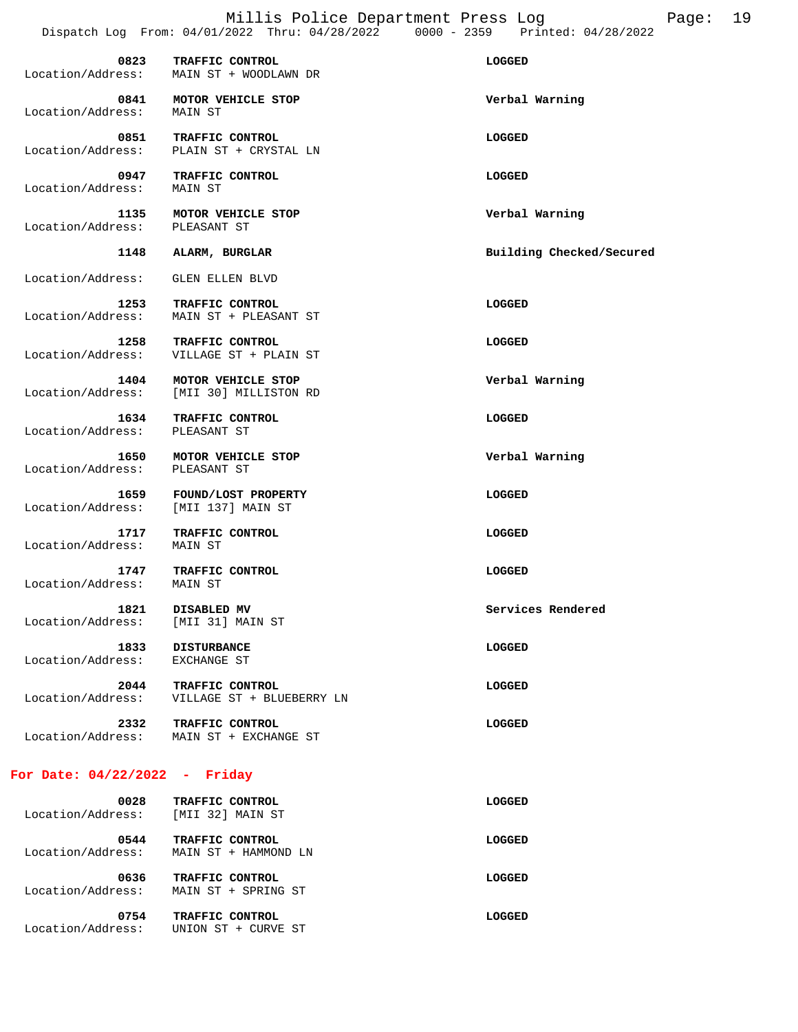|                           | Dispatch Log From: 04/01/2022 Thru: 04/28/2022             | $0000 - 2359$<br>Printed: 04/28/2022 |
|---------------------------|------------------------------------------------------------|--------------------------------------|
| 0823<br>Location/Address: | TRAFFIC CONTROL<br>MAIN ST + WOODLAWN DR                   | <b>LOGGED</b>                        |
| 0841<br>Location/Address: | MOTOR VEHICLE STOP<br>MAIN ST                              | Verbal Warning                       |
| 0851<br>Location/Address: | <b>TRAFFIC CONTROL</b><br>PLAIN ST + CRYSTAL LN            | <b>LOGGED</b>                        |
| 0947<br>Location/Address: | TRAFFIC CONTROL<br>MAIN ST                                 | LOGGED                               |
| 1135<br>Location/Address: | MOTOR VEHICLE STOP<br>PLEASANT ST                          | Verbal Warning                       |
| 1148                      | ALARM, BURGLAR                                             | Building Checked/Secured             |
| Location/Address:         | GLEN ELLEN BLVD                                            |                                      |
| 1253<br>Location/Address: | TRAFFIC CONTROL<br>MAIN ST + PLEASANT ST                   | LOGGED                               |
| 1258<br>Location/Address: | TRAFFIC CONTROL<br>VILLAGE ST + PLAIN ST                   | LOGGED                               |
| 1404<br>Location/Address: | MOTOR VEHICLE STOP<br>[MII 30] MILLISTON RD                | Verbal Warning                       |
| 1634<br>Location/Address: | TRAFFIC CONTROL<br>PLEASANT ST                             | LOGGED                               |
| 1650<br>Location/Address: | MOTOR VEHICLE STOP<br>PLEASANT ST                          | Verbal Warning                       |
| 1659                      | FOUND/LOST PROPERTY<br>Location/Address: [MII 137] MAIN ST | LOGGED                               |
| 1717<br>Location/Address: | TRAFFIC CONTROL<br>MAIN ST                                 | LOGGED                               |
| 1747<br>Location/Address: | TRAFFIC CONTROL<br>MAIN ST                                 | LOGGED                               |
| 1821<br>Location/Address: | DISABLED MV<br>[MII 31] MAIN ST                            | Services Rendered                    |
| 1833<br>Location/Address: | <b>DISTURBANCE</b><br>EXCHANGE ST                          | <b>LOGGED</b>                        |
| 2044<br>Location/Address: | TRAFFIC CONTROL<br>VILLAGE ST + BLUEBERRY LN               | <b>LOGGED</b>                        |
| 2332<br>Location/Address: | TRAFFIC CONTROL<br>MAIN ST + EXCHANGE ST                   | <b>LOGGED</b>                        |
|                           |                                                            |                                      |

# **For Date: 04/22/2022 - Friday**

| 0028<br>Location/Address: | TRAFFIC CONTROL<br>[MII 32] MAIN ST                   | LOGGED |
|---------------------------|-------------------------------------------------------|--------|
| 0544<br>Location/Address: | TRAFFIC CONTROL<br>MAIN ST + HAMMOND LN               | LOGGED |
| 0636<br>Location/Address: | TRAFFIC CONTROL<br>MAIN ST + SPRING ST                | LOGGED |
| 0754<br>Location/Address: | TRAFFIC CONTROL<br>ST.<br>+ CURVE ST<br><b>IINTON</b> | LOGGED |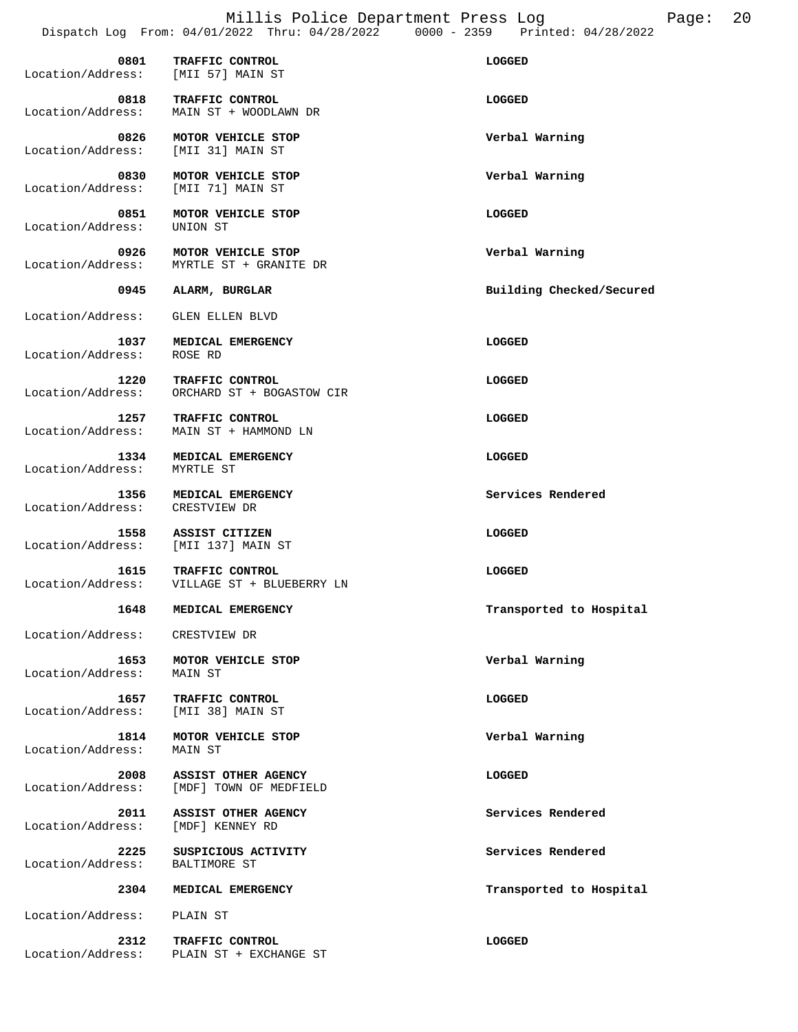Millis Police Department Press Log Page: 20 Dispatch Log From: 04/01/2022 Thru: 04/28/2022 0000 - 2359 Printed: 04/28/2022

| 0801<br>Location/Address:                   | TRAFFIC CONTROL<br>[MII 57] MAIN ST           | LOGGED                   |
|---------------------------------------------|-----------------------------------------------|--------------------------|
| 0818<br>Location/Address:                   | TRAFFIC CONTROL<br>MAIN ST + WOODLAWN DR      | LOGGED                   |
| 0826<br>Location/Address:                   | MOTOR VEHICLE STOP<br>[MII 31] MAIN ST        | Verbal Warning           |
| 0830<br>Location/Address:                   | MOTOR VEHICLE STOP<br>[MII 71] MAIN ST        | Verbal Warning           |
| 0851<br>Location/Address:                   | MOTOR VEHICLE STOP<br>UNION ST                | LOGGED                   |
| 0926<br>Location/Address:                   | MOTOR VEHICLE STOP<br>MYRTLE ST + GRANITE DR  | Verbal Warning           |
| 0945                                        | ALARM, BURGLAR                                | Building Checked/Secured |
| Location/Address:                           | GLEN ELLEN BLVD                               |                          |
| 1037<br>Location/Address:                   | MEDICAL EMERGENCY<br>ROSE RD                  | LOGGED                   |
| 1220<br>Location/Address:                   | TRAFFIC CONTROL<br>ORCHARD ST + BOGASTOW CIR  | LOGGED                   |
| 1257<br>Location/Address:                   | TRAFFIC CONTROL<br>MAIN ST + HAMMOND LN       | LOGGED                   |
| 1334<br>Location/Address:                   | MEDICAL EMERGENCY<br>MYRTLE ST                | LOGGED                   |
| 1356<br>Location/Address:                   | MEDICAL EMERGENCY<br>CRESTVIEW DR             | Services Rendered        |
| 1558<br>Location/Address: [MII 137] MAIN ST | ASSIST CITIZEN                                | LOGGED                   |
| 1615<br>Location/Address:                   | TRAFFIC CONTROL<br>VILLAGE ST + BLUEBERRY LN  | LOGGED                   |
| 1648                                        | MEDICAL EMERGENCY                             | Transported to Hospital  |
| Location/Address:                           | CRESTVIEW DR                                  |                          |
| 1653<br>Location/Address:                   | MOTOR VEHICLE STOP<br>MAIN ST                 | Verbal Warning           |
| 1657<br>Location/Address:                   | TRAFFIC CONTROL<br>[MII 38] MAIN ST           | LOGGED                   |
| 1814<br>Location/Address:                   | MOTOR VEHICLE STOP<br>MAIN ST                 | Verbal Warning           |
| 2008<br>Location/Address:                   | ASSIST OTHER AGENCY<br>[MDF] TOWN OF MEDFIELD | LOGGED                   |
| 2011<br>Location/Address:                   | ASSIST OTHER AGENCY<br>[MDF] KENNEY RD        | Services Rendered        |
| 2225<br>Location/Address:                   | SUSPICIOUS ACTIVITY<br>BALTIMORE ST           | Services Rendered        |
| 2304                                        | MEDICAL EMERGENCY                             | Transported to Hospital  |
| Location/Address:                           | PLAIN ST                                      |                          |
|                                             |                                               |                          |
| 2312<br>Location/Address:                   | TRAFFIC CONTROL<br>PLAIN ST + EXCHANGE ST     | LOGGED                   |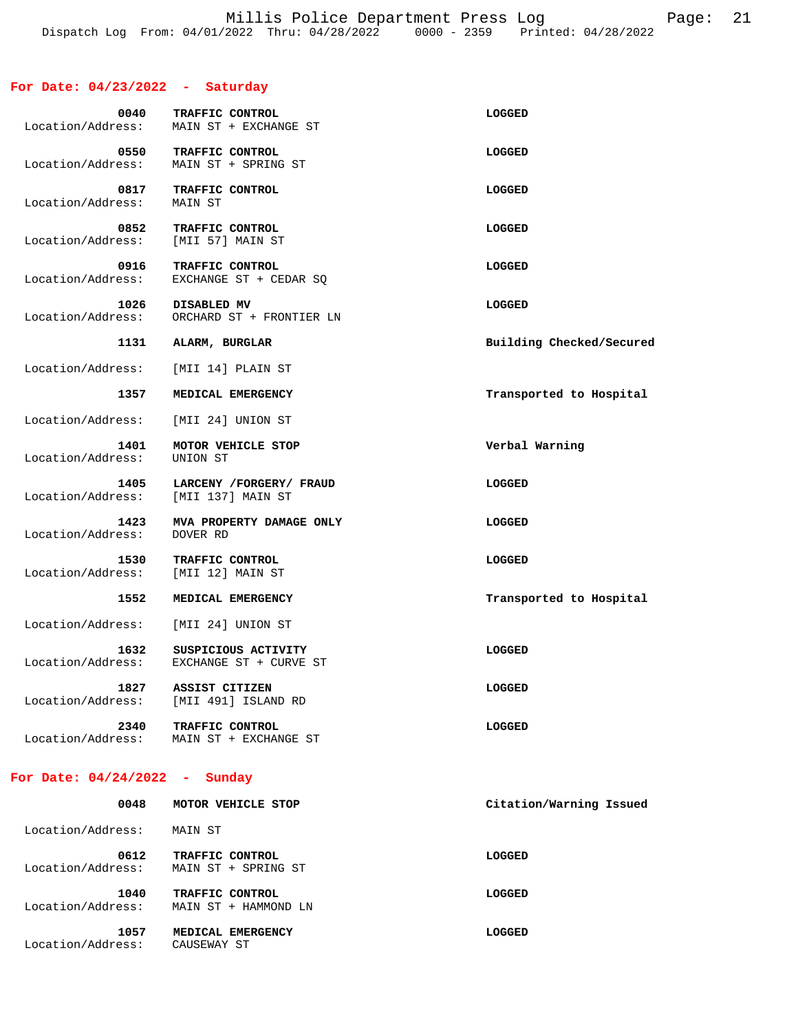### **For Date: 04/23/2022 - Saturday**

| 0040<br>Location/Address:                  | TRAFFIC CONTROL<br>MAIN ST + EXCHANGE ST                | <b>LOGGED</b>            |
|--------------------------------------------|---------------------------------------------------------|--------------------------|
| Location/Address:                          | 0550 TRAFFIC CONTROL<br>MAIN ST + SPRING ST             | LOGGED                   |
| 0817<br>Location/Address:                  | TRAFFIC CONTROL<br>MAIN ST                              | LOGGED                   |
| 0852<br>Location/Address: [MII 57] MAIN ST | TRAFFIC CONTROL                                         | LOGGED                   |
| 0916<br>Location/Address:                  | TRAFFIC CONTROL<br>EXCHANGE ST + CEDAR SQ               | <b>LOGGED</b>            |
| 1026<br>Location/Address:                  | DISABLED MV<br>ORCHARD ST + FRONTIER LN                 | LOGGED                   |
| 1131                                       | ALARM, BURGLAR                                          | Building Checked/Secured |
| Location/Address:                          | [MII 14] PLAIN ST                                       |                          |
| 1357                                       | MEDICAL EMERGENCY                                       | Transported to Hospital  |
|                                            | Location/Address: [MII 24] UNION ST                     |                          |
| 1401<br>Location/Address: UNION ST         | MOTOR VEHICLE STOP                                      | Verbal Warning           |
| Location/Address:                          | 1405 LARCENY / FORGERY / FRAUD<br>[MII 137] MAIN ST     | LOGGED                   |
| 1423                                       | MVA PROPERTY DAMAGE ONLY                                | LOGGED                   |
| Location/Address: DOVER RD                 |                                                         |                          |
| 1530<br>Location/Address: [MII 12] MAIN ST | TRAFFIC CONTROL                                         | LOGGED                   |
| 1552                                       | MEDICAL EMERGENCY                                       | Transported to Hospital  |
|                                            | Location/Address: [MII 24] UNION ST                     |                          |
| 1632<br>Location/Address:                  | SUSPICIOUS ACTIVITY<br>EXCHANGE ST + CURVE ST           | <b>LOGGED</b>            |
| 1827                                       | ASSIST CITIZEN<br>Location/Address: [MII 491] ISLAND RD | LOGGED                   |
| 2340<br>Location/Address:                  | TRAFFIC CONTROL<br>MAIN ST + EXCHANGE ST                | LOGGED                   |

#### **For Date: 04/24/2022 - Sunday**

| 0048                      | MOTOR VEHICLE STOP                      | Citation/Warning Issued |
|---------------------------|-----------------------------------------|-------------------------|
| Location/Address:         | MAIN ST                                 |                         |
| 0612<br>Location/Address: | TRAFFIC CONTROL<br>MAIN ST + SPRING ST  | LOGGED                  |
| 1040<br>Location/Address: | TRAFFIC CONTROL<br>MAIN ST + HAMMOND LN | LOGGED                  |
| 1057<br>Location/Address: | MEDICAL EMERGENCY<br>CAUSEWAY ST        | LOGGED                  |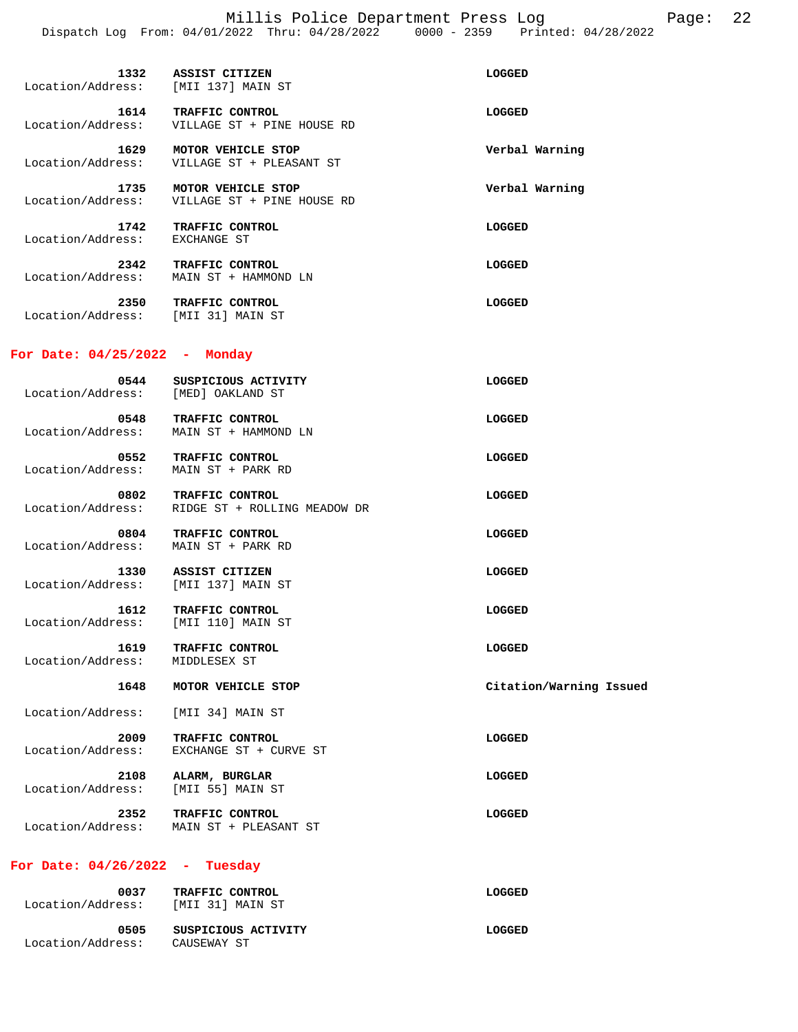| Location/Address: [MII 137] MAIN ST         | 1332 ASSIST CITIZEN                                                    | LOGGED                  |
|---------------------------------------------|------------------------------------------------------------------------|-------------------------|
| 1614<br>Location/Address:                   | TRAFFIC CONTROL<br>VILLAGE ST + PINE HOUSE RD                          | LOGGED                  |
| Location/Address:                           | 1629 MOTOR VEHICLE STOP<br>VILLAGE ST + PLEASANT ST                    | Verbal Warning          |
| 1735<br>Location/Address:                   | MOTOR VEHICLE STOP<br>VILLAGE ST + PINE HOUSE RD                       | Verbal Warning          |
| 1742<br>Location/Address: EXCHANGE ST       | <b>TRAFFIC CONTROL</b>                                                 | LOGGED                  |
| 2342<br>Location/Address:                   | TRAFFIC CONTROL<br>MAIN ST + HAMMOND LN                                | LOGGED                  |
| 2350<br>Location/Address: [MII 31] MAIN ST  | TRAFFIC CONTROL                                                        | LOGGED                  |
| For Date: $04/25/2022 -$ Monday             |                                                                        |                         |
| 0544<br>Location/Address: [MED] OAKLAND ST  | SUSPICIOUS ACTIVITY                                                    | LOGGED                  |
|                                             | 0548 TRAFFIC CONTROL<br>Location/Address: MAIN ST + HAMMOND LN         | LOGGED                  |
| Location/Address: MAIN ST + PARK RD         | 0552 TRAFFIC CONTROL                                                   | LOGGED                  |
|                                             | 0802 TRAFFIC CONTROL<br>Location/Address: RIDGE ST + ROLLING MEADOW DR | LOGGED                  |
| 0804<br>Location/Address:                   | TRAFFIC CONTROL<br>MAIN ST + PARK RD                                   | LOGGED                  |
| 1330<br>Location/Address:                   | ASSIST CITIZEN<br>[MII 137] MAIN ST                                    | LOGGED                  |
| 1612<br>Location/Address: [MII 110] MAIN ST | TRAFFIC CONTROL                                                        | LOGGED                  |
| 1619<br>Location/Address:                   | TRAFFIC CONTROL<br>MIDDLESEX ST                                        | LOGGED                  |
| 1648                                        | MOTOR VEHICLE STOP                                                     | Citation/Warning Issued |
| Location/Address:                           | [MII 34] MAIN ST                                                       |                         |
| 2009<br>Location/Address:                   | TRAFFIC CONTROL<br>EXCHANGE ST + CURVE ST                              | LOGGED                  |
| 2108<br>Location/Address:                   | ALARM, BURGLAR<br>[MII 55] MAIN ST                                     | LOGGED                  |
| 2352<br>Location/Address:                   | TRAFFIC CONTROL<br>MAIN ST + PLEASANT ST                               | <b>LOGGED</b>           |
| For Date: 04/26/2022 -                      | Tuesday                                                                |                         |
| 0037<br>Location/Address:                   | TRAFFIC CONTROL<br>[MII 31] MAIN ST                                    | <b>LOGGED</b>           |

| 0505              | SUSPICIOUS ACTIVITY | LOGGED |
|-------------------|---------------------|--------|
| Location/Address: | CAUSEWAY ST         |        |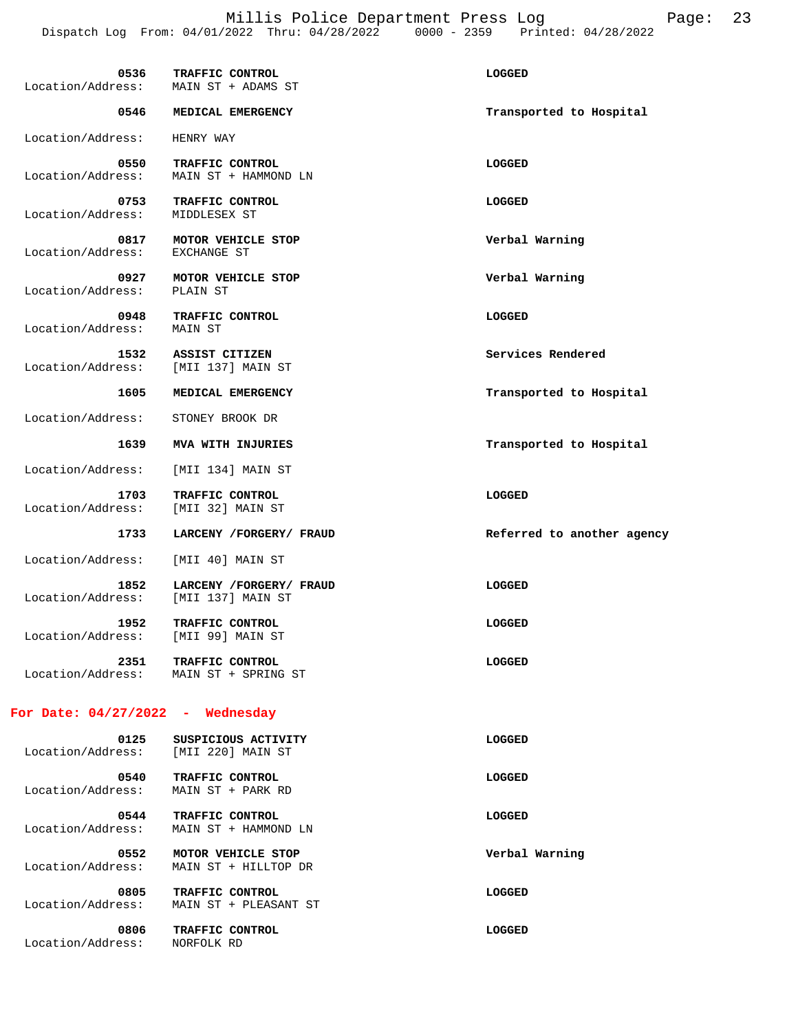Millis Police Department Press Log Page: 23 Dispatch Log From: 04/01/2022 Thru: 04/28/2022 0000 - 2359 Printed: 04/28/2022

| 0536                                | TRAFFIC CONTROL                                          | LOGGED                     |
|-------------------------------------|----------------------------------------------------------|----------------------------|
| Location/Address:                   | MAIN ST + ADAMS ST                                       |                            |
| 0546                                | MEDICAL EMERGENCY                                        | Transported to Hospital    |
| Location/Address:                   | HENRY WAY                                                |                            |
| 0550                                | TRAFFIC CONTROL                                          | LOGGED                     |
| Location/Address:                   | MAIN ST + HAMMOND LN                                     |                            |
| 0753<br>Location/Address:           | TRAFFIC CONTROL<br>MIDDLESEX ST                          | LOGGED                     |
|                                     |                                                          |                            |
| 0817<br>Location/Address:           | MOTOR VEHICLE STOP<br>EXCHANGE ST                        | Verbal Warning             |
|                                     |                                                          |                            |
| 0927                                | MOTOR VEHICLE STOP                                       | Verbal Warning             |
| Location/Address:                   | PLAIN ST                                                 |                            |
| 0948<br>Location/Address:           | TRAFFIC CONTROL<br>MAIN ST                               | LOGGED                     |
|                                     |                                                          |                            |
| 1532<br>Location/Address:           | ASSIST CITIZEN<br>[MII 137] MAIN ST                      | Services Rendered          |
| 1605                                | MEDICAL EMERGENCY                                        | Transported to Hospital    |
| Location/Address:                   | STONEY BROOK DR                                          |                            |
| 1639                                | MVA WITH INJURIES                                        | Transported to Hospital    |
| Location/Address:                   | [MII 134] MAIN ST                                        |                            |
| 1703                                | TRAFFIC CONTROL                                          | LOGGED                     |
| Location/Address:                   | [MII 32] MAIN ST                                         |                            |
| 1733                                | LARCENY /FORGERY/ FRAUD                                  | Referred to another agency |
| Location/Address:                   | [MII 40] MAIN ST                                         |                            |
| 1852                                | LARCENY /FORGERY/ FRAUD                                  | <b>LOGGED</b>              |
| Location/Address:                   | [MII 137] MAIN ST                                        |                            |
| 1952                                | TRAFFIC CONTROL                                          | LOGGED                     |
| Location/Address:                   | [MII 99] MAIN ST                                         |                            |
|                                     |                                                          |                            |
| 2351                                | TRAFFIC CONTROL<br>Location/Address: MAIN ST + SPRING ST | LOGGED                     |
|                                     |                                                          |                            |
| For Date: $04/27/2022$ - Wednesday  |                                                          |                            |
| 0125                                | SUSPICIOUS ACTIVITY                                      | LOGGED                     |
| Location/Address: [MII 220] MAIN ST |                                                          |                            |
| 0540                                | TRAFFIC CONTROL                                          | LOGGED                     |
| Location/Address:                   | MAIN ST + PARK RD                                        |                            |
| 0544                                | TRAFFIC CONTROL                                          | LOGGED                     |
| Location/Address:                   | MAIN ST + HAMMOND LN                                     |                            |
| 0552                                | MOTOR VEHICLE STOP                                       | Verbal Warning             |
| Location/Address:                   | MAIN ST + HILLTOP DR                                     |                            |
| 0805                                | TRAFFIC CONTROL                                          | LOGGED                     |
| Location/Address:                   | MAIN ST + PLEASANT ST                                    |                            |
| 0806                                | TRAFFIC CONTROL                                          | <b>LOGGED</b>              |
|                                     |                                                          |                            |

Location/Address: NORFOLK RD